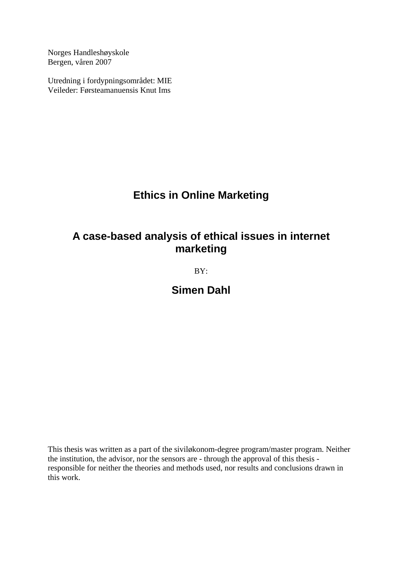Norges Handleshøyskole Bergen, våren 2007

Utredning i fordypningsområdet: MIE Veileder: Førsteamanuensis Knut Ims

## **Ethics in Online Marketing**

## **A case-based analysis of ethical issues in internet marketing**

BY:

**Simen Dahl** 

This thesis was written as a part of the siviløkonom-degree program/master program. Neither the institution, the advisor, nor the sensors are - through the approval of this thesis responsible for neither the theories and methods used, nor results and conclusions drawn in this work.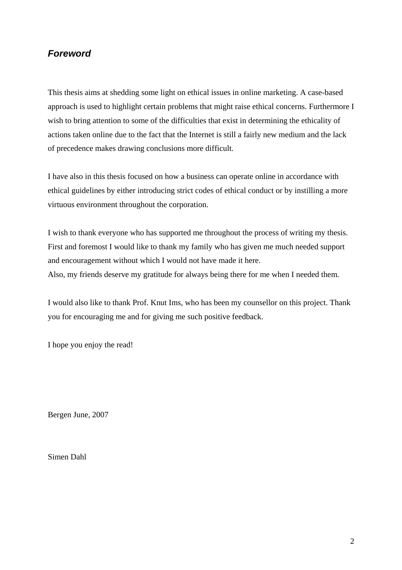## *Foreword*

This thesis aims at shedding some light on ethical issues in online marketing. A case-based approach is used to highlight certain problems that might raise ethical concerns. Furthermore I wish to bring attention to some of the difficulties that exist in determining the ethicality of actions taken online due to the fact that the Internet is still a fairly new medium and the lack of precedence makes drawing conclusions more difficult.

I have also in this thesis focused on how a business can operate online in accordance with ethical guidelines by either introducing strict codes of ethical conduct or by instilling a more virtuous environment throughout the corporation.

I wish to thank everyone who has supported me throughout the process of writing my thesis. First and foremost I would like to thank my family who has given me much needed support and encouragement without which I would not have made it here. Also, my friends deserve my gratitude for always being there for me when I needed them.

I would also like to thank Prof. Knut Ims, who has been my counsellor on this project. Thank you for encouraging me and for giving me such positive feedback.

I hope you enjoy the read!

Bergen June, 2007

Simen Dahl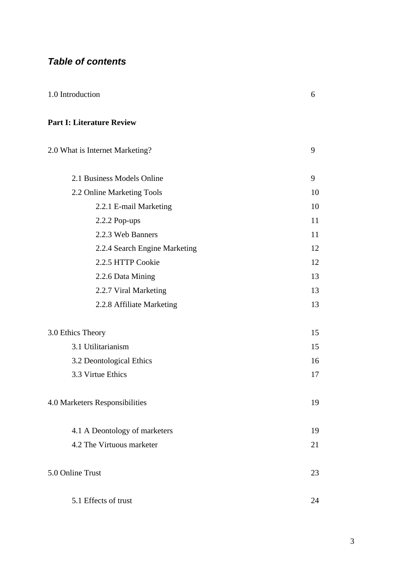## *Table of contents*

| 1.0 Introduction                 | 6 |
|----------------------------------|---|
|                                  |   |
| <b>Part I: Literature Review</b> |   |

# 2.0 What is Internet Marketing? 9 2.1 Business Models Online 9 2.2 Online Marketing Tools 10 2.2.1 E-mail Marketing 10 2.2.2 Pop-ups 11 2.2.3 Web Banners 11 2.2.4 Search Engine Marketing 12 2.2.5 HTTP Cookie 12 2.2.6 Data Mining 13 2.2.7 Viral Marketing 13 2.2.8 Affiliate Marketing 13 3.0 Ethics Theory 15 3.1 Utilitarianism 15 3.2 Deontological Ethics 16 3.3 Virtue Ethics 17 4.0 Marketers Responsibilities 19 4.1 A Deontology of marketers 19 4.2 The Virtuous marketer 21 5.0 Online Trust 23 5.1 Effects of trust 24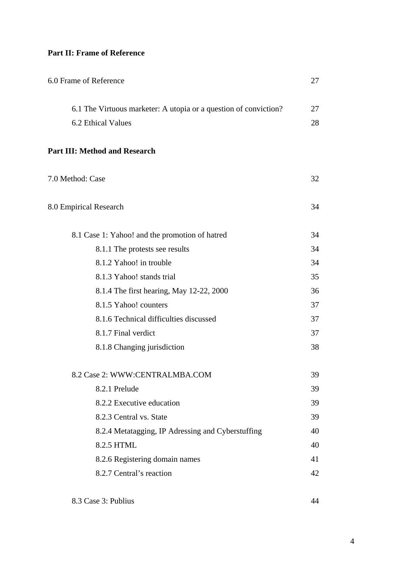#### **Part II: Frame of Reference**

| 6.0 Frame of Reference                                                                 |          |
|----------------------------------------------------------------------------------------|----------|
| 6.1 The Virtuous marketer: A utopia or a question of conviction?<br>6.2 Ethical Values | 27<br>28 |
| <b>Part III: Method and Research</b>                                                   |          |
| 7.0 Method: Case                                                                       | 32       |
| 8.0 Empirical Research                                                                 | 34       |
| 8.1 Case 1: Yahoo! and the promotion of hatred                                         | 34       |
| 8.1.1 The protests see results                                                         | 34       |
| 8.1.2 Yahoo! in trouble                                                                | 34       |
| 8.1.3 Yahoo! stands trial                                                              | 35       |
| 8.1.4 The first hearing, May 12-22, 2000                                               | 36       |
| 8.1.5 Yahoo! counters                                                                  | 37       |
| 8.1.6 Technical difficulties discussed                                                 | 37       |
| 8.1.7 Final verdict                                                                    | 37       |
| 8.1.8 Changing jurisdiction                                                            | 38       |
| 8.2 Case 2: WWW:CENTRALMBA.COM                                                         | 39       |
| 8.2.1 Prelude                                                                          | 39       |
| 8.2.2 Executive education                                                              | 39       |
| 8.2.3 Central vs. State                                                                | 39       |
| 8.2.4 Metatagging, IP Adressing and Cyberstuffing                                      | 40       |
| 8.2.5 HTML                                                                             | 40       |
| 8.2.6 Registering domain names                                                         | 41       |
| 8.2.7 Central's reaction                                                               | 42       |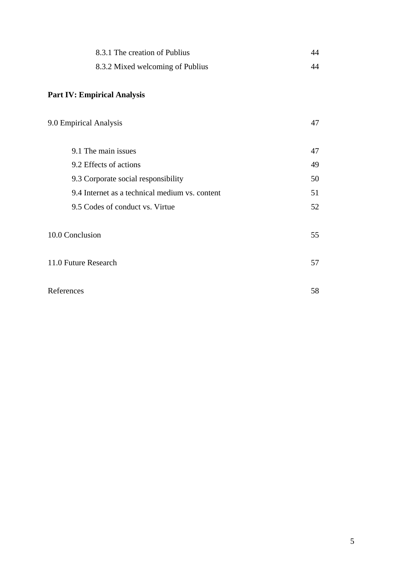| 8.3.1 The creation of Publius    | 44 |
|----------------------------------|----|
| 8.3.2 Mixed welcoming of Publius | 44 |

## **Part IV: Empirical Analysis**

| 9.0 Empirical Analysis                         | 47 |
|------------------------------------------------|----|
| 9.1 The main issues                            | 47 |
| 9.2 Effects of actions                         | 49 |
| 9.3 Corporate social responsibility            | 50 |
| 9.4 Internet as a technical medium vs. content | 51 |
| 9.5 Codes of conduct vs. Virtue                | 52 |
| 10.0 Conclusion                                | 55 |
| 11.0 Future Research                           | 57 |
| References                                     | 58 |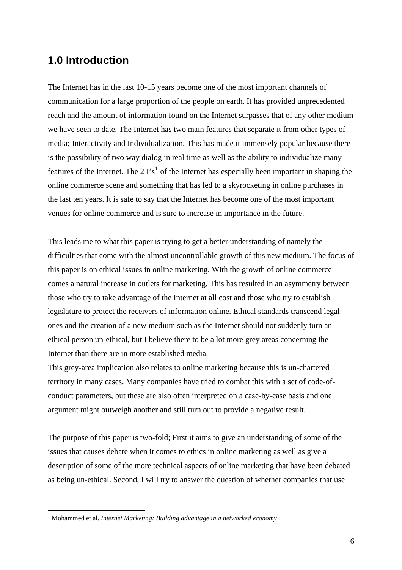## **1.0 Introduction**

The Internet has in the last 10-15 years become one of the most important channels of communication for a large proportion of the people on earth. It has provided unprecedented reach and the amount of information found on the Internet surpasses that of any other medium we have seen to date. The Internet has two main features that separate it from other types of media; Interactivity and Individualization. This has made it immensely popular because there is the possibility of two way dialog in real time as well as the ability to individualize many features of the Internet. The 2  $\Gamma s^1$  $\Gamma s^1$  of the Internet has especially been important in shaping the online commerce scene and something that has led to a skyrocketing in online purchases in the last ten years. It is safe to say that the Internet has become one of the most important venues for online commerce and is sure to increase in importance in the future.

This leads me to what this paper is trying to get a better understanding of namely the difficulties that come with the almost uncontrollable growth of this new medium. The focus of this paper is on ethical issues in online marketing. With the growth of online commerce comes a natural increase in outlets for marketing. This has resulted in an asymmetry between those who try to take advantage of the Internet at all cost and those who try to establish legislature to protect the receivers of information online. Ethical standards transcend legal ones and the creation of a new medium such as the Internet should not suddenly turn an ethical person un-ethical, but I believe there to be a lot more grey areas concerning the Internet than there are in more established media.

This grey-area implication also relates to online marketing because this is un-chartered territory in many cases. Many companies have tried to combat this with a set of code-ofconduct parameters, but these are also often interpreted on a case-by-case basis and one argument might outweigh another and still turn out to provide a negative result.

The purpose of this paper is two-fold; First it aims to give an understanding of some of the issues that causes debate when it comes to ethics in online marketing as well as give a description of some of the more technical aspects of online marketing that have been debated as being un-ethical. Second, I will try to answer the question of whether companies that use

<span id="page-5-0"></span><sup>&</sup>lt;sup>1</sup> Mohammed et al. *Internet Marketing: Building advantage in a networked economy*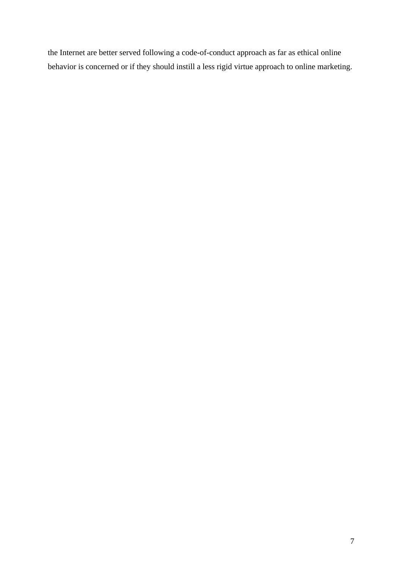the Internet are better served following a code-of-conduct approach as far as ethical online behavior is concerned or if they should instill a less rigid virtue approach to online marketing.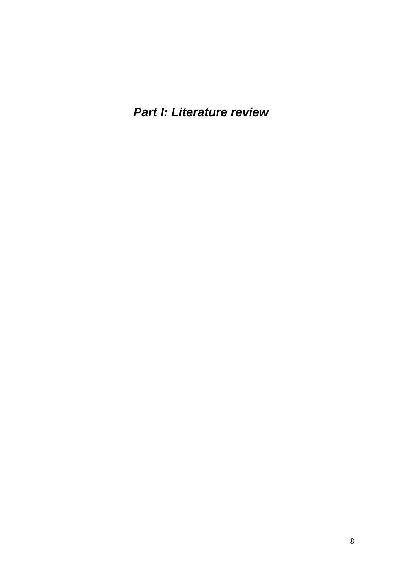*Part I: Literature review*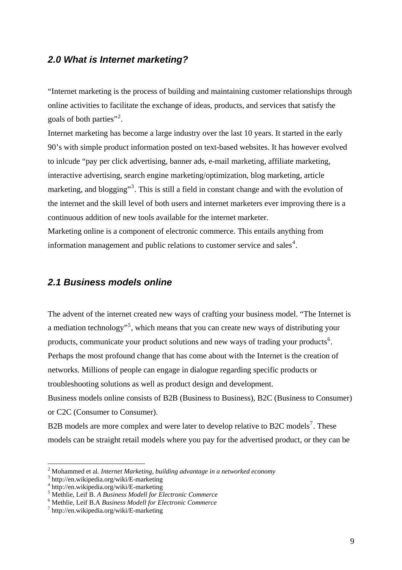#### *2.0 What is Internet marketing?*

"Internet marketing is the process of building and maintaining customer relationships through online activities to facilitate the exchange of ideas, products, and services that satisfy the goals of both parties"<sup>[2](#page-8-0)</sup>.

Internet marketing has become a large industry over the last 10 years. It started in the early 90's with simple product information posted on text-based websites. It has however evolved to inlcude "pay per click advertising, banner ads, e-mail marketing, affiliate marketing, interactive advertising, search engine marketing/optimization, blog marketing, article marketing, and blogging"<sup>[3](#page-8-1)</sup>. This is still a field in constant change and with the evolution of the internet and the skill level of both users and internet marketers ever improving there is a continuous addition of new tools available for the internet marketer.

Marketing online is a component of electronic commerce. This entails anything from information management and public relations to customer service and sales<sup>[4](#page-8-2)</sup>.

#### *2.1 Business models online*

The advent of the internet created new ways of crafting your business model. "The Internet is a mediation technology"<sup>[5](#page-8-3)</sup>, which means that you can create new ways of distributing your products, communicate your product solutions and new ways of trading your products<sup>[6](#page-8-4)</sup>. Perhaps the most profound change that has come about with the Internet is the creation of networks. Millions of people can engage in dialogue regarding specific products or troubleshooting solutions as well as product design and development.

Business models online consists of B2B (Business to Business), B2C (Business to Consumer) or C2C (Consumer to Consumer).

B2B models are more complex and were later to develop relative to B2C models<sup>[7](#page-8-5)</sup>. These models can be straight retail models where you pay for the advertised product, or they can be

<span id="page-8-0"></span><sup>&</sup>lt;sup>2</sup> Mohammed et al. *Internet Marketing, building advantage in a networked economy*  $\frac{3 \text{ ktru}}{2}$ 

<span id="page-8-1"></span>http://en.wikipedia.org/wiki/E-marketing

<span id="page-8-2"></span><sup>4</sup> http://en.wikipedia.org/wiki/E-marketing

<span id="page-8-3"></span><sup>5</sup> Methlie, Leif B. *A Business Modell for Electronic Commerce* <sup>6</sup>

<span id="page-8-4"></span>Methlie, Leif B.A *Business Modell for Electronic Commerce* <sup>7</sup>

<span id="page-8-5"></span> $\frac{1}{\pi}$ http://en.wikipedia.org/wiki/E-marketing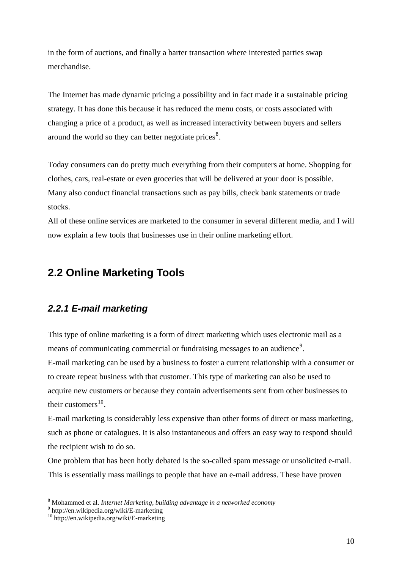in the form of auctions, and finally a barter transaction where interested parties swap merchandise.

The Internet has made dynamic pricing a possibility and in fact made it a sustainable pricing strategy. It has done this because it has reduced the menu costs, or costs associated with changing a price of a product, as well as increased interactivity between buyers and sellers around the world so they can better negotiate prices $\delta$ .

Today consumers can do pretty much everything from their computers at home. Shopping for clothes, cars, real-estate or even groceries that will be delivered at your door is possible. Many also conduct financial transactions such as pay bills, check bank statements or trade stocks.

All of these online services are marketed to the consumer in several different media, and I will now explain a few tools that businesses use in their online marketing effort.

## **2.2 Online Marketing Tools**

## *2.2.1 E-mail marketing*

This type of online marketing is a form of direct marketing which uses electronic mail as a means of communicating commercial or fundraising messages to an audience<sup>[9](#page-9-1)</sup>.

E-mail marketing can be used by a business to foster a current relationship with a consumer or to create repeat business with that customer. This type of marketing can also be used to acquire new customers or because they contain advertisements sent from other businesses to their customers $^{10}$  $^{10}$  $^{10}$ .

E-mail marketing is considerably less expensive than other forms of direct or mass marketing, such as phone or catalogues. It is also instantaneous and offers an easy way to respond should the recipient wish to do so.

One problem that has been hotly debated is the so-called spam message or unsolicited e-mail. This is essentially mass mailings to people that have an e-mail address. These have proven

<span id="page-9-0"></span><sup>&</sup>lt;sup>8</sup> Mohammed et al. *Internet Marketing, building advantage in a networked economy*<br><sup>9</sup> http://an.wikipadia.org/wiki/E.marketing

<span id="page-9-1"></span><sup>&</sup>lt;sup>9</sup> http://en.wikipedia.org/wiki/E-marketing

<span id="page-9-2"></span><sup>&</sup>lt;sup>10</sup> http://en.wikipedia.org/wiki/E-marketing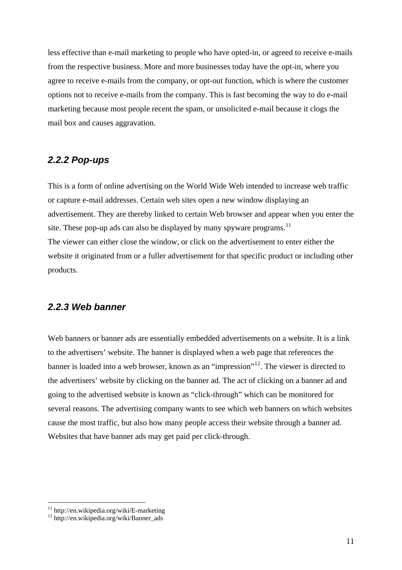less effective than e-mail marketing to people who have opted-in, or agreed to receive e-mails from the respective business. More and more businesses today have the opt-in, where you agree to receive e-mails from the company, or opt-out function, which is where the customer options not to receive e-mails from the company. This is fast becoming the way to do e-mail marketing because most people recent the spam, or unsolicited e-mail because it clogs the mail box and causes aggravation.

#### *2.2.2 Pop-ups*

This is a form of online advertising on the World Wide Web intended to increase web traffic or capture e-mail addresses. Certain web sites open a new window displaying an advertisement. They are thereby linked to certain Web browser and appear when you enter the site. These pop-up ads can also be displayed by many spyware programs.<sup>[11](#page-10-0)</sup> The viewer can either close the window, or click on the advertisement to enter either the website it originated from or a fuller advertisement for that specific product or including other products.

#### *2.2.3 Web banner*

Web banners or banner ads are essentially embedded advertisements on a website. It is a link to the advertisers' website. The banner is displayed when a web page that references the banner is loaded into a web browser, known as an "impression"<sup>[12](#page-10-1)</sup>. The viewer is directed to the advertisers' website by clicking on the banner ad. The act of clicking on a banner ad and going to the advertised website is known as "click-through" which can be monitored for several reasons. The advertising company wants to see which web banners on which websites cause the most traffic, but also how many people access their website through a banner ad. Websites that have banner ads may get paid per click-through.

<span id="page-10-0"></span><sup>&</sup>lt;sup>11</sup> http://en.wikipedia.org/wiki/E-marketing

<span id="page-10-1"></span><sup>12</sup> http://en.wikipedia.org/wiki/Banner\_ads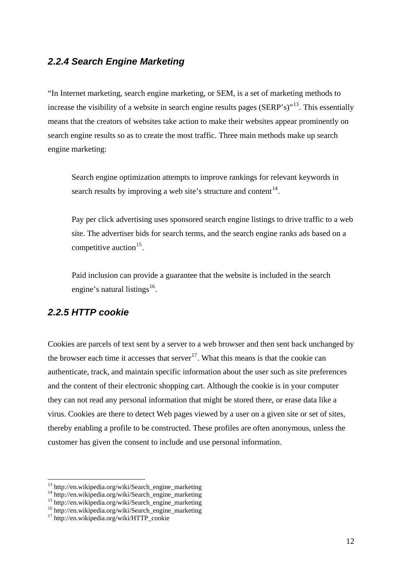#### *2.2.4 Search Engine Marketing*

"In Internet marketing, search engine marketing, or SEM, is a set of marketing methods to increase the visibility of a website in search engine results pages (SERP's)"<sup>[13](#page-11-0)</sup>. This essentially means that the creators of websites take action to make their websites appear prominently on search engine results so as to create the most traffic. Three main methods make up search engine marketing:

Search engine optimization attempts to improve rankings for relevant keywords in search results by improving a web site's structure and content  $14$ .

Pay per click advertising uses sponsored search engine listings to drive traffic to a web site. The advertiser bids for search terms, and the search engine ranks ads based on a competitive auction<sup>[15](#page-11-2)</sup>.

 Paid inclusion can provide a guarantee that the website is included in the search engine's natural listings<sup>[16](#page-11-3)</sup>.

## *2.2.5 HTTP cookie*

Cookies are parcels of text sent by a server to a web browser and then sent back unchanged by the browser each time it accesses that server<sup>[17](#page-11-4)</sup>. What this means is that the cookie can authenticate, track, and maintain specific information about the user such as site preferences and the content of their electronic shopping cart. Although the cookie is in your computer they can not read any personal information that might be stored there, or erase data like a virus. Cookies are there to detect Web pages viewed by a user on a given site or set of sites, thereby enabling a profile to be constructed. These profiles are often anonymous, unless the customer has given the consent to include and use personal information.

<span id="page-11-0"></span><sup>&</sup>lt;sup>13</sup> http://en.wikipedia.org/wiki/Search\_engine\_marketing

<span id="page-11-1"></span><sup>&</sup>lt;sup>14</sup> http://en.wikipedia.org/wiki/Search\_engine\_marketing

<sup>15</sup> http://en.wikipedia.org/wiki/Search\_engine\_marketing

<span id="page-11-3"></span><span id="page-11-2"></span><sup>16</sup> http://en.wikipedia.org/wiki/Search\_engine\_marketing

<span id="page-11-4"></span> $17 \text{ http://en.wikipedia.org/wiki/HTTP}$  cookie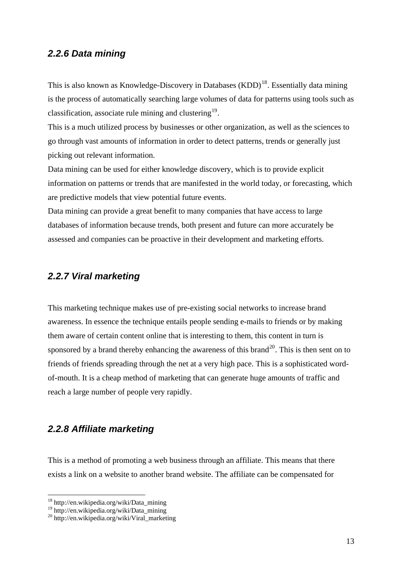#### *2.2.6 Data mining*

This is also known as Knowledge-Discovery in Databases (KDD)<sup>[18](#page-12-0)</sup>. Essentially data mining is the process of automatically searching large volumes of data for patterns using tools such as classification, associate rule mining and clustering  $19$ .

This is a much utilized process by businesses or other organization, as well as the sciences to go through vast amounts of information in order to detect patterns, trends or generally just picking out relevant information.

Data mining can be used for either knowledge discovery, which is to provide explicit information on patterns or trends that are manifested in the world today, or forecasting, which are predictive models that view potential future events.

Data mining can provide a great benefit to many companies that have access to large databases of information because trends, both present and future can more accurately be assessed and companies can be proactive in their development and marketing efforts.

#### *2.2.7 Viral marketing*

This marketing technique makes use of pre-existing social networks to increase brand awareness. In essence the technique entails people sending e-mails to friends or by making them aware of certain content online that is interesting to them, this content in turn is sponsored by a brand thereby enhancing the awareness of this brand<sup>[20](#page-12-2)</sup>. This is then sent on to friends of friends spreading through the net at a very high pace. This is a sophisticated wordof-mouth. It is a cheap method of marketing that can generate huge amounts of traffic and reach a large number of people very rapidly.

#### *2.2.8 Affiliate marketing*

This is a method of promoting a web business through an affiliate. This means that there exists a link on a website to another brand website. The affiliate can be compensated for

<span id="page-12-0"></span><sup>18</sup> http://en.wikipedia.org/wiki/Data\_mining

<span id="page-12-1"></span><sup>&</sup>lt;sup>19</sup> http://en.wikipedia.org/wiki/Data\_mining

<span id="page-12-2"></span> $^{20}$  http://en.wikipedia.org/wiki/Viral\_marketing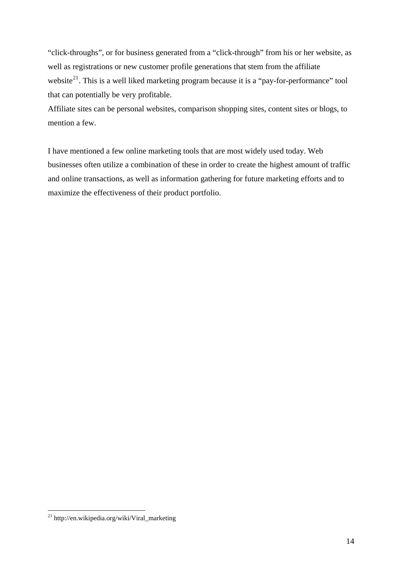"click-throughs", or for business generated from a "click-through" from his or her website, as well as registrations or new customer profile generations that stem from the affiliate website<sup>[21](#page-13-0)</sup>. This is a well liked marketing program because it is a "pay-for-performance" tool that can potentially be very profitable.

Affiliate sites can be personal websites, comparison shopping sites, content sites or blogs, to mention a few.

I have mentioned a few online marketing tools that are most widely used today. Web businesses often utilize a combination of these in order to create the highest amount of traffic and online transactions, as well as information gathering for future marketing efforts and to maximize the effectiveness of their product portfolio.

<span id="page-13-0"></span> $^{21}$  http://en.wikipedia.org/wiki/Viral\_marketing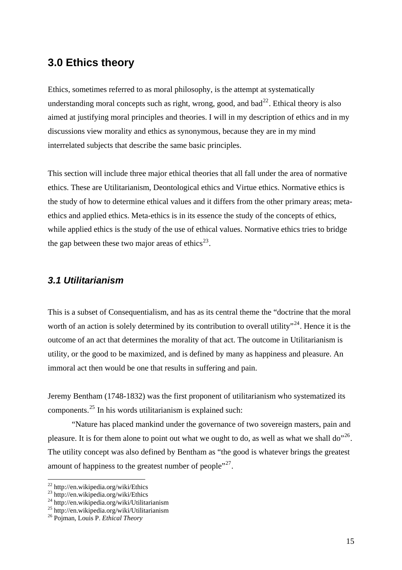## **3.0 Ethics theory**

Ethics, sometimes referred to as moral philosophy, is the attempt at systematically understanding moral concepts such as right, wrong, good, and  $bad^{22}$  $bad^{22}$  $bad^{22}$ . Ethical theory is also aimed at justifying moral principles and theories. I will in my description of ethics and in my discussions view morality and ethics as synonymous, because they are in my mind interrelated subjects that describe the same basic principles.

This section will include three major ethical theories that all fall under the area of normative ethics. These are Utilitarianism, Deontological ethics and Virtue ethics. Normative ethics is the study of how to determine ethical values and it differs from the other primary areas; metaethics and applied ethics. Meta-ethics is in its essence the study of the concepts of ethics, while applied ethics is the study of the use of ethical values. Normative ethics tries to bridge the gap between these two major areas of ethics<sup>[23](#page-14-1)</sup>.

#### *3.1 Utilitarianism*

This is a subset of Consequentialism, and has as its central theme the "doctrine that the moral worth of an action is solely determined by its contribution to overall utility"<sup>[24](#page-14-2)</sup>. Hence it is the outcome of an act that determines the morality of that act. The outcome in Utilitarianism is utility, or the good to be maximized, and is defined by many as happiness and pleasure. An immoral act then would be one that results in suffering and pain.

Jeremy Bentham (1748-1832) was the first proponent of utilitarianism who systematized its components.[25](#page-14-3) In his words utilitarianism is explained such:

 "Nature has placed mankind under the governance of two sovereign masters, pain and pleasure. It is for them alone to point out what we ought to do, as well as what we shall do<sup>"[26](#page-14-4)</sup>. The utility concept was also defined by Bentham as "the good is whatever brings the greatest amount of happiness to the greatest number of people"<sup>[27](#page-14-5)</sup>.

<span id="page-14-5"></span><sup>&</sup>lt;sup>22</sup> http://en.wikipedia.org/wiki/Ethics

<span id="page-14-1"></span><span id="page-14-0"></span><sup>&</sup>lt;sup>23</sup> http://en.wikipedia.org/wiki/Ethics

<span id="page-14-2"></span><sup>24</sup> http://en.wikipedia.org/wiki/Utilitarianism

<span id="page-14-3"></span><sup>25</sup> http://en.wikipedia.org/wiki/Utilitarianism

<span id="page-14-4"></span><sup>26</sup> Pojman, Louis P. *Ethical Theory*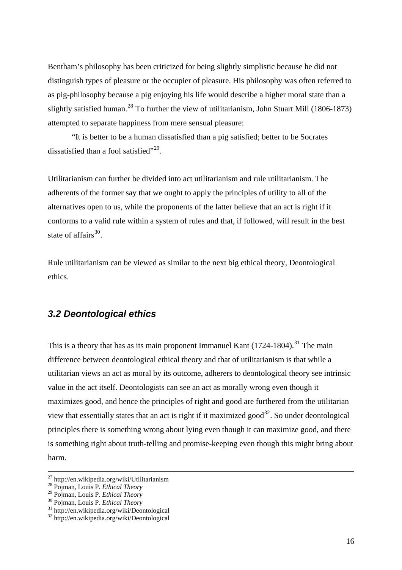Bentham's philosophy has been criticized for being slightly simplistic because he did not distinguish types of pleasure or the occupier of pleasure. His philosophy was often referred to as pig-philosophy because a pig enjoying his life would describe a higher moral state than a slightly satisfied human.<sup>[28](#page-15-0)</sup> To further the view of utilitarianism, John Stuart Mill (1806-1873) attempted to separate happiness from mere sensual pleasure:

"It is better to be a human dissatisfied than a pig satisfied; better to be Socrates dissatisfied than a fool satisfied"<sup>[29](#page-15-1)</sup>.

Utilitarianism can further be divided into act utilitarianism and rule utilitarianism. The adherents of the former say that we ought to apply the principles of utility to all of the alternatives open to us, while the proponents of the latter believe that an act is right if it conforms to a valid rule within a system of rules and that, if followed, will result in the best state of affairs $30<sub>1</sub>$  $30<sub>1</sub>$ 

Rule utilitarianism can be viewed as similar to the next big ethical theory, Deontological ethics.

#### *3.2 Deontological ethics*

This is a theory that has as its main proponent Immanuel Kant  $(1724-1804)$ .<sup>[31](#page-15-3)</sup> The main difference between deontological ethical theory and that of utilitarianism is that while a utilitarian views an act as moral by its outcome, adherers to deontological theory see intrinsic value in the act itself. Deontologists can see an act as morally wrong even though it maximizes good, and hence the principles of right and good are furthered from the utilitarian view that essentially states that an act is right if it maximized good<sup>[32](#page-15-4)</sup>. So under deontological principles there is something wrong about lying even though it can maximize good, and there is something right about truth-telling and promise-keeping even though this might bring about harm.

<sup>&</sup>lt;sup>27</sup> http://en.wikipedia.org/wiki/Utilitarianism<br><sup>28</sup> Pojman, Louis P. *Ethical Theory* 

<span id="page-15-0"></span>

<span id="page-15-2"></span>

<span id="page-15-1"></span><sup>&</sup>lt;sup>29</sup> Pojman, Louis P. *Ethical Theory*<br><sup>30</sup> Pojman, Louis P. *Ethical Theory*<br><sup>31</sup> http://en.wikipedia.org/wiki/Deontological

<span id="page-15-4"></span><span id="page-15-3"></span><sup>32</sup> http://en.wikipedia.org/wiki/Deontological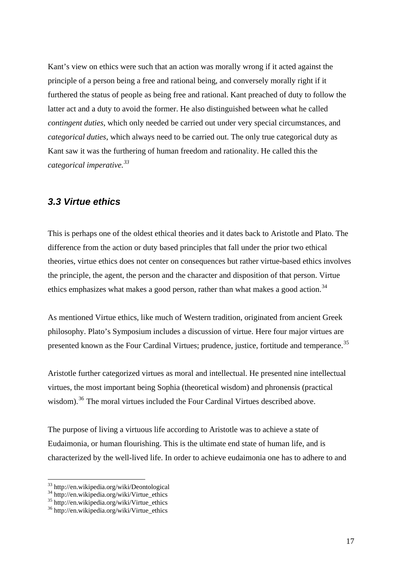Kant's view on ethics were such that an action was morally wrong if it acted against the principle of a person being a free and rational being, and conversely morally right if it furthered the status of people as being free and rational. Kant preached of duty to follow the latter act and a duty to avoid the former. He also distinguished between what he called *contingent duties*, which only needed be carried out under very special circumstances, and *categorical duties*, which always need to be carried out. The only true categorical duty as Kant saw it was the furthering of human freedom and rationality. He called this the *categorical imperative.[33](#page-16-0)*

#### *3.3 Virtue ethics*

This is perhaps one of the oldest ethical theories and it dates back to Aristotle and Plato. The difference from the action or duty based principles that fall under the prior two ethical theories, virtue ethics does not center on consequences but rather virtue-based ethics involves the principle, the agent, the person and the character and disposition of that person. Virtue ethics emphasizes what makes a good person, rather than what makes a good action.<sup>[34](#page-16-1)</sup>

As mentioned Virtue ethics, like much of Western tradition, originated from ancient Greek philosophy. Plato's Symposium includes a discussion of virtue. Here four major virtues are presented known as the Four Cardinal Virtues; prudence, justice, fortitude and temperance.<sup>[35](#page-16-2)</sup>

Aristotle further categorized virtues as moral and intellectual. He presented nine intellectual virtues, the most important being Sophia (theoretical wisdom) and phronensis (practical wisdom).<sup>[36](#page-16-3)</sup> The moral virtues included the Four Cardinal Virtues described above.

The purpose of living a virtuous life according to Aristotle was to achieve a state of Eudaimonia, or human flourishing. This is the ultimate end state of human life, and is characterized by the well-lived life. In order to achieve eudaimonia one has to adhere to and

<sup>33</sup> http://en.wikipedia.org/wiki/Deontological

<span id="page-16-1"></span><span id="page-16-0"></span><sup>&</sup>lt;sup>34</sup> http://en.wikipedia.org/wiki/Virtue\_ethics

<span id="page-16-2"></span> $35 \text{ http://en.wikipedia.org/wiki/Virtue}$  ethics

<span id="page-16-3"></span> $36$  http://en.wikipedia.org/wiki/Virtue\_ethics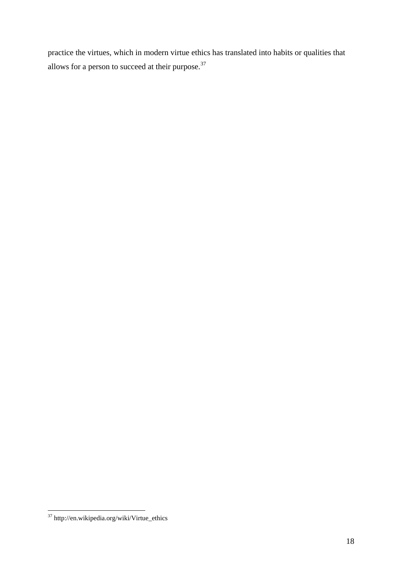practice the virtues, which in modern virtue ethics has translated into habits or qualities that allows for a person to succeed at their purpose. $37$ 

<span id="page-17-0"></span><sup>1</sup> 37 http://en.wikipedia.org/wiki/Virtue\_ethics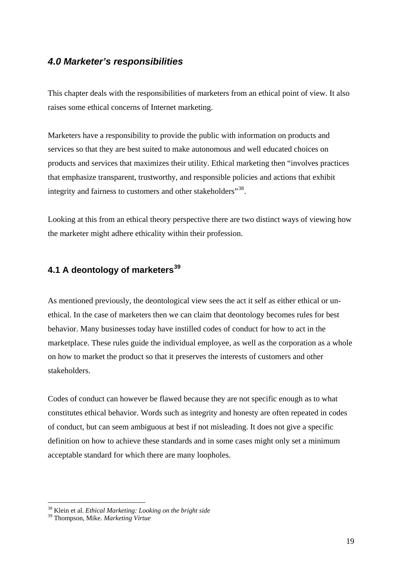#### *4.0 Marketer's responsibilities*

This chapter deals with the responsibilities of marketers from an ethical point of view. It also raises some ethical concerns of Internet marketing.

Marketers have a responsibility to provide the public with information on products and services so that they are best suited to make autonomous and well educated choices on products and services that maximizes their utility. Ethical marketing then "involves practices that emphasize transparent, trustworthy, and responsible policies and actions that exhibit integrity and fairness to customers and other stakeholders<sup>"[38](#page-18-0)</sup>.

Looking at this from an ethical theory perspective there are two distinct ways of viewing how the marketer might adhere ethicality within their profession.

## **4.1 A deontology of marketers[39](#page-18-1)**

As mentioned previously, the deontological view sees the act it self as either ethical or unethical. In the case of marketers then we can claim that deontology becomes rules for best behavior. Many businesses today have instilled codes of conduct for how to act in the marketplace. These rules guide the individual employee, as well as the corporation as a whole on how to market the product so that it preserves the interests of customers and other stakeholders.

Codes of conduct can however be flawed because they are not specific enough as to what constitutes ethical behavior. Words such as integrity and honesty are often repeated in codes of conduct, but can seem ambiguous at best if not misleading. It does not give a specific definition on how to achieve these standards and in some cases might only set a minimum acceptable standard for which there are many loopholes.

<span id="page-18-0"></span><sup>38</sup> Klein et al. *Ethical Marketing: Looking on the bright side*

<span id="page-18-1"></span><sup>39</sup> Thompson, Mike. *Marketing Virtue*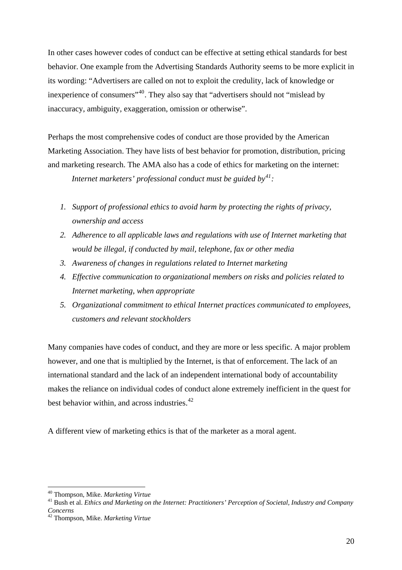In other cases however codes of conduct can be effective at setting ethical standards for best behavior. One example from the Advertising Standards Authority seems to be more explicit in its wording: "Advertisers are called on not to exploit the credulity, lack of knowledge or inexperience of consumers"[40](#page-19-0). They also say that "advertisers should not "mislead by inaccuracy, ambiguity, exaggeration, omission or otherwise".

Perhaps the most comprehensive codes of conduct are those provided by the American Marketing Association. They have lists of best behavior for promotion, distribution, pricing and marketing research. The AMA also has a code of ethics for marketing on the internet:

*Internet marketers' professional conduct must be guided by[41](#page-19-1) :*

- *1. Support of professional ethics to avoid harm by protecting the rights of privacy, ownership and access*
- *2. Adherence to all applicable laws and regulations with use of Internet marketing that would be illegal, if conducted by mail, telephone, fax or other media*
- *3. Awareness of changes in regulations related to Internet marketing*
- *4. Effective communication to organizational members on risks and policies related to Internet marketing, when appropriate*
- *5. Organizational commitment to ethical Internet practices communicated to employees, customers and relevant stockholders*

Many companies have codes of conduct, and they are more or less specific. A major problem however, and one that is multiplied by the Internet, is that of enforcement. The lack of an international standard and the lack of an independent international body of accountability makes the reliance on individual codes of conduct alone extremely inefficient in the quest for best behavior within, and across industries. $42$ 

A different view of marketing ethics is that of the marketer as a moral agent.

<span id="page-19-0"></span><sup>&</sup>lt;sup>40</sup> Thompson, Mike. Marketing Virtue

<span id="page-19-1"></span><sup>&</sup>lt;sup>41</sup> Bush et al. *Ethics and Marketing on the Internet: Practitioners' Perception of Societal, Industry and Company Concerns* 

<span id="page-19-2"></span><sup>42</sup> Thompson, Mike. *Marketing Virtue*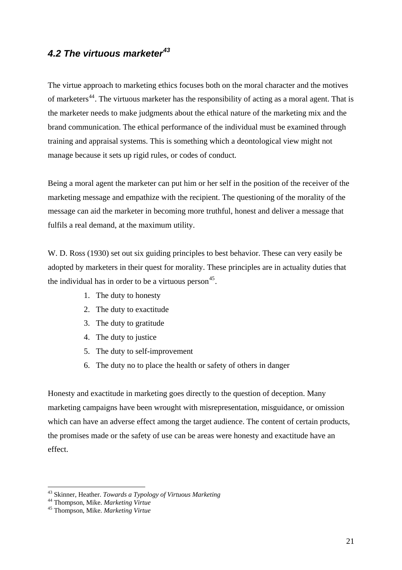## *4.2 The virtuous marketer[43](#page-20-0)*

The virtue approach to marketing ethics focuses both on the moral character and the motives of marketers<sup>[44](#page-20-1)</sup>. The virtuous marketer has the responsibility of acting as a moral agent. That is the marketer needs to make judgments about the ethical nature of the marketing mix and the brand communication. The ethical performance of the individual must be examined through training and appraisal systems. This is something which a deontological view might not manage because it sets up rigid rules, or codes of conduct.

Being a moral agent the marketer can put him or her self in the position of the receiver of the marketing message and empathize with the recipient. The questioning of the morality of the message can aid the marketer in becoming more truthful, honest and deliver a message that fulfils a real demand, at the maximum utility.

W. D. Ross (1930) set out six guiding principles to best behavior. These can very easily be adopted by marketers in their quest for morality. These principles are in actuality duties that the individual has in order to be a virtuous person  $45$ .

- 1. The duty to honesty
- 2. The duty to exactitude
- 3. The duty to gratitude
- 4. The duty to justice
- 5. The duty to self-improvement
- 6. The duty no to place the health or safety of others in danger

Honesty and exactitude in marketing goes directly to the question of deception. Many marketing campaigns have been wrought with misrepresentation, misguidance, or omission which can have an adverse effect among the target audience. The content of certain products, the promises made or the safety of use can be areas were honesty and exactitude have an effect.

<span id="page-20-0"></span><sup>&</sup>lt;sup>43</sup> Skinner, Heather. *Towards a Typology of Virtuous Marketing*<br><sup>44</sup> Thompson, Mike. *Marketing Virtue*<br><sup>45</sup> Thompson, Mike. *Marketing Virtue* 

<span id="page-20-1"></span>

<span id="page-20-2"></span>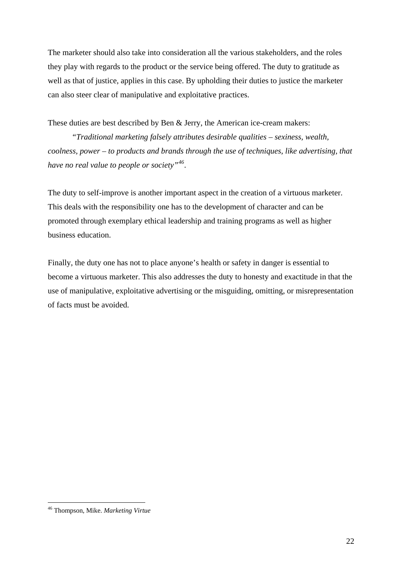The marketer should also take into consideration all the various stakeholders, and the roles they play with regards to the product or the service being offered. The duty to gratitude as well as that of justice, applies in this case. By upholding their duties to justice the marketer can also steer clear of manipulative and exploitative practices.

These duties are best described by Ben & Jerry, the American ice-cream makers:

*"Traditional marketing falsely attributes desirable qualities – sexiness, wealth, coolness, power – to products and brands through the use of techniques, like advertising, that have no real value to people or society"[46](#page-21-0).* 

The duty to self-improve is another important aspect in the creation of a virtuous marketer. This deals with the responsibility one has to the development of character and can be promoted through exemplary ethical leadership and training programs as well as higher business education.

Finally, the duty one has not to place anyone's health or safety in danger is essential to become a virtuous marketer. This also addresses the duty to honesty and exactitude in that the use of manipulative, exploitative advertising or the misguiding, omitting, or misrepresentation of facts must be avoided.

<span id="page-21-0"></span><sup>46</sup> Thompson, Mike. *Marketing Virtue*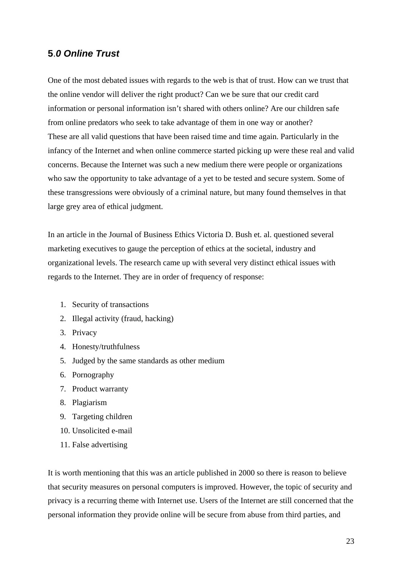### **5**.*0 Online Trust*

One of the most debated issues with regards to the web is that of trust. How can we trust that the online vendor will deliver the right product? Can we be sure that our credit card information or personal information isn't shared with others online? Are our children safe from online predators who seek to take advantage of them in one way or another? These are all valid questions that have been raised time and time again. Particularly in the infancy of the Internet and when online commerce started picking up were these real and valid concerns. Because the Internet was such a new medium there were people or organizations who saw the opportunity to take advantage of a yet to be tested and secure system. Some of these transgressions were obviously of a criminal nature, but many found themselves in that large grey area of ethical judgment.

In an article in the Journal of Business Ethics Victoria D. Bush et. al. questioned several marketing executives to gauge the perception of ethics at the societal, industry and organizational levels. The research came up with several very distinct ethical issues with regards to the Internet. They are in order of frequency of response:

- 1. Security of transactions
- 2. Illegal activity (fraud, hacking)
- 3. Privacy
- 4. Honesty/truthfulness
- 5. Judged by the same standards as other medium
- 6. Pornography
- 7. Product warranty
- 8. Plagiarism
- 9. Targeting children
- 10. Unsolicited e-mail
- 11. False advertising

It is worth mentioning that this was an article published in 2000 so there is reason to believe that security measures on personal computers is improved. However, the topic of security and privacy is a recurring theme with Internet use. Users of the Internet are still concerned that the personal information they provide online will be secure from abuse from third parties, and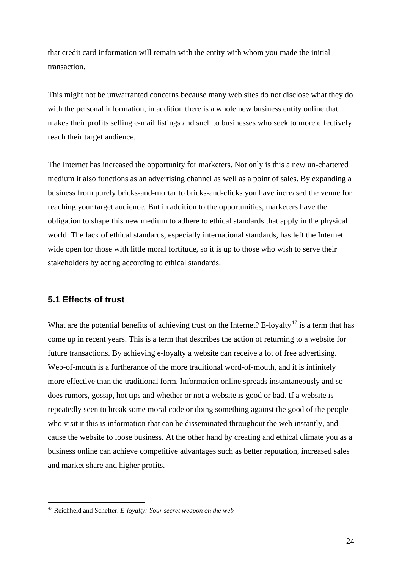that credit card information will remain with the entity with whom you made the initial transaction.

This might not be unwarranted concerns because many web sites do not disclose what they do with the personal information, in addition there is a whole new business entity online that makes their profits selling e-mail listings and such to businesses who seek to more effectively reach their target audience.

The Internet has increased the opportunity for marketers. Not only is this a new un-chartered medium it also functions as an advertising channel as well as a point of sales. By expanding a business from purely bricks-and-mortar to bricks-and-clicks you have increased the venue for reaching your target audience. But in addition to the opportunities, marketers have the obligation to shape this new medium to adhere to ethical standards that apply in the physical world. The lack of ethical standards, especially international standards, has left the Internet wide open for those with little moral fortitude, so it is up to those who wish to serve their stakeholders by acting according to ethical standards.

#### **5.1 Effects of trust**

1

What are the potential benefits of achieving trust on the Internet? E-loyalty<sup>[47](#page-23-0)</sup> is a term that has come up in recent years. This is a term that describes the action of returning to a website for future transactions. By achieving e-loyalty a website can receive a lot of free advertising. Web-of-mouth is a furtherance of the more traditional word-of-mouth, and it is infinitely more effective than the traditional form. Information online spreads instantaneously and so does rumors, gossip, hot tips and whether or not a website is good or bad. If a website is repeatedly seen to break some moral code or doing something against the good of the people who visit it this is information that can be disseminated throughout the web instantly, and cause the website to loose business. At the other hand by creating and ethical climate you as a business online can achieve competitive advantages such as better reputation, increased sales and market share and higher profits.

<span id="page-23-0"></span><sup>47</sup> Reichheld and Schefter. *E-loyalty: Your secret weapon on the web*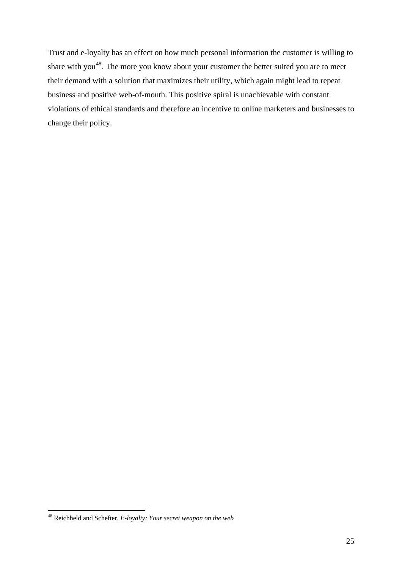Trust and e-loyalty has an effect on how much personal information the customer is willing to share with you<sup>[48](#page-24-0)</sup>. The more you know about your customer the better suited you are to meet their demand with a solution that maximizes their utility, which again might lead to repeat business and positive web-of-mouth. This positive spiral is unachievable with constant violations of ethical standards and therefore an incentive to online marketers and businesses to change their policy.

<span id="page-24-0"></span><sup>48</sup> Reichheld and Schefter. *E-loyalty: Your secret weapon on the web*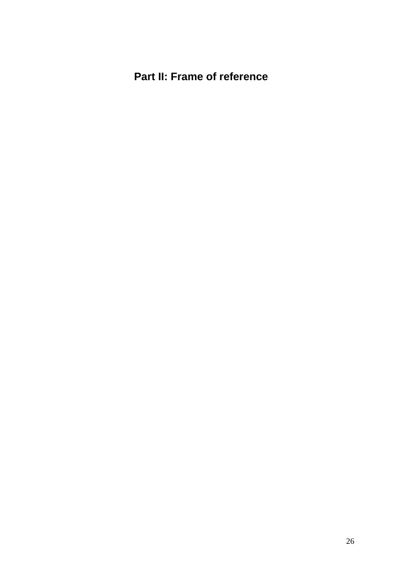## **Part II: Frame of reference**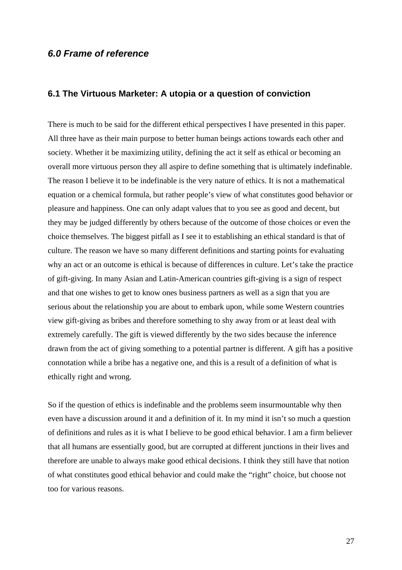#### *6.0 Frame of reference*

#### **6.1 The Virtuous Marketer: A utopia or a question of conviction**

There is much to be said for the different ethical perspectives I have presented in this paper. All three have as their main purpose to better human beings actions towards each other and society. Whether it be maximizing utility, defining the act it self as ethical or becoming an overall more virtuous person they all aspire to define something that is ultimately indefinable. The reason I believe it to be indefinable is the very nature of ethics. It is not a mathematical equation or a chemical formula, but rather people's view of what constitutes good behavior or pleasure and happiness. One can only adapt values that to you see as good and decent, but they may be judged differently by others because of the outcome of those choices or even the choice themselves. The biggest pitfall as I see it to establishing an ethical standard is that of culture. The reason we have so many different definitions and starting points for evaluating why an act or an outcome is ethical is because of differences in culture. Let's take the practice of gift-giving. In many Asian and Latin-American countries gift-giving is a sign of respect and that one wishes to get to know ones business partners as well as a sign that you are serious about the relationship you are about to embark upon, while some Western countries view gift-giving as bribes and therefore something to shy away from or at least deal with extremely carefully. The gift is viewed differently by the two sides because the inference drawn from the act of giving something to a potential partner is different. A gift has a positive connotation while a bribe has a negative one, and this is a result of a definition of what is ethically right and wrong.

So if the question of ethics is indefinable and the problems seem insurmountable why then even have a discussion around it and a definition of it. In my mind it isn't so much a question of definitions and rules as it is what I believe to be good ethical behavior. I am a firm believer that all humans are essentially good, but are corrupted at different junctions in their lives and therefore are unable to always make good ethical decisions. I think they still have that notion of what constitutes good ethical behavior and could make the "right" choice, but choose not too for various reasons.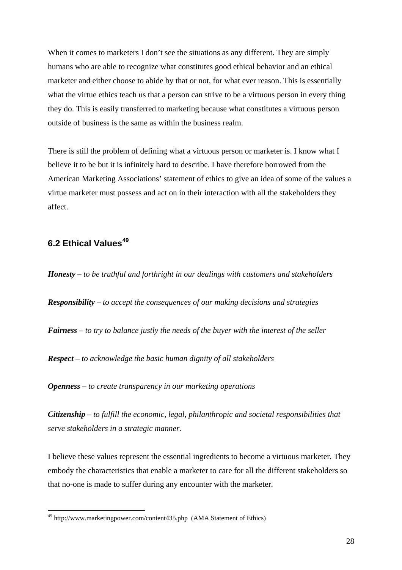When it comes to marketers I don't see the situations as any different. They are simply humans who are able to recognize what constitutes good ethical behavior and an ethical marketer and either choose to abide by that or not, for what ever reason. This is essentially what the virtue ethics teach us that a person can strive to be a virtuous person in every thing they do. This is easily transferred to marketing because what constitutes a virtuous person outside of business is the same as within the business realm.

There is still the problem of defining what a virtuous person or marketer is. I know what I believe it to be but it is infinitely hard to describe. I have therefore borrowed from the American Marketing Associations' statement of ethics to give an idea of some of the values a virtue marketer must possess and act on in their interaction with all the stakeholders they affect.

### **6.2 Ethical Values[49](#page-27-0)**

1

*Honesty – to be truthful and forthright in our dealings with customers and stakeholders Responsibility – to accept the consequences of our making decisions and strategies Fairness – to try to balance justly the needs of the buyer with the interest of the seller Respect – to acknowledge the basic human dignity of all stakeholders* 

*Openness – to create transparency in our marketing operations* 

*Citizenship – to fulfill the economic, legal, philanthropic and societal responsibilities that serve stakeholders in a strategic manner.* 

I believe these values represent the essential ingredients to become a virtuous marketer. They embody the characteristics that enable a marketer to care for all the different stakeholders so that no-one is made to suffer during any encounter with the marketer.

<span id="page-27-0"></span><sup>49</sup> http://www.marketingpower.com/content435.php (AMA Statement of Ethics)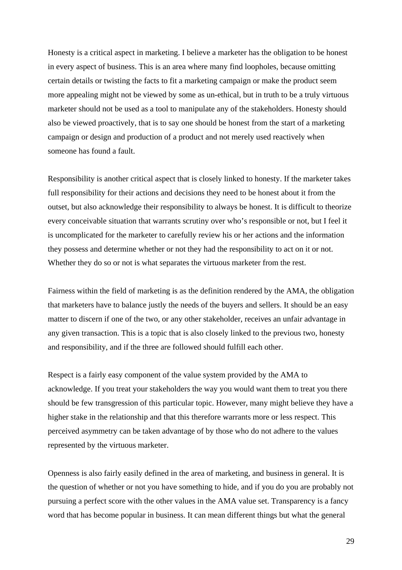Honesty is a critical aspect in marketing. I believe a marketer has the obligation to be honest in every aspect of business. This is an area where many find loopholes, because omitting certain details or twisting the facts to fit a marketing campaign or make the product seem more appealing might not be viewed by some as un-ethical, but in truth to be a truly virtuous marketer should not be used as a tool to manipulate any of the stakeholders. Honesty should also be viewed proactively, that is to say one should be honest from the start of a marketing campaign or design and production of a product and not merely used reactively when someone has found a fault.

Responsibility is another critical aspect that is closely linked to honesty. If the marketer takes full responsibility for their actions and decisions they need to be honest about it from the outset, but also acknowledge their responsibility to always be honest. It is difficult to theorize every conceivable situation that warrants scrutiny over who's responsible or not, but I feel it is uncomplicated for the marketer to carefully review his or her actions and the information they possess and determine whether or not they had the responsibility to act on it or not. Whether they do so or not is what separates the virtuous marketer from the rest.

Fairness within the field of marketing is as the definition rendered by the AMA, the obligation that marketers have to balance justly the needs of the buyers and sellers. It should be an easy matter to discern if one of the two, or any other stakeholder, receives an unfair advantage in any given transaction. This is a topic that is also closely linked to the previous two, honesty and responsibility, and if the three are followed should fulfill each other.

Respect is a fairly easy component of the value system provided by the AMA to acknowledge. If you treat your stakeholders the way you would want them to treat you there should be few transgression of this particular topic. However, many might believe they have a higher stake in the relationship and that this therefore warrants more or less respect. This perceived asymmetry can be taken advantage of by those who do not adhere to the values represented by the virtuous marketer.

Openness is also fairly easily defined in the area of marketing, and business in general. It is the question of whether or not you have something to hide, and if you do you are probably not pursuing a perfect score with the other values in the AMA value set. Transparency is a fancy word that has become popular in business. It can mean different things but what the general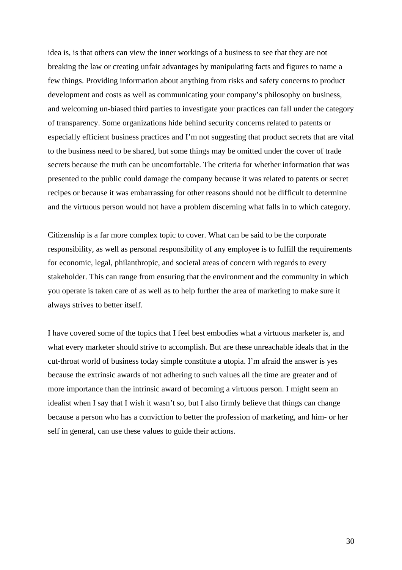idea is, is that others can view the inner workings of a business to see that they are not breaking the law or creating unfair advantages by manipulating facts and figures to name a few things. Providing information about anything from risks and safety concerns to product development and costs as well as communicating your company's philosophy on business, and welcoming un-biased third parties to investigate your practices can fall under the category of transparency. Some organizations hide behind security concerns related to patents or especially efficient business practices and I'm not suggesting that product secrets that are vital to the business need to be shared, but some things may be omitted under the cover of trade secrets because the truth can be uncomfortable. The criteria for whether information that was presented to the public could damage the company because it was related to patents or secret recipes or because it was embarrassing for other reasons should not be difficult to determine and the virtuous person would not have a problem discerning what falls in to which category.

Citizenship is a far more complex topic to cover. What can be said to be the corporate responsibility, as well as personal responsibility of any employee is to fulfill the requirements for economic, legal, philanthropic, and societal areas of concern with regards to every stakeholder. This can range from ensuring that the environment and the community in which you operate is taken care of as well as to help further the area of marketing to make sure it always strives to better itself.

I have covered some of the topics that I feel best embodies what a virtuous marketer is, and what every marketer should strive to accomplish. But are these unreachable ideals that in the cut-throat world of business today simple constitute a utopia. I'm afraid the answer is yes because the extrinsic awards of not adhering to such values all the time are greater and of more importance than the intrinsic award of becoming a virtuous person. I might seem an idealist when I say that I wish it wasn't so, but I also firmly believe that things can change because a person who has a conviction to better the profession of marketing, and him- or her self in general, can use these values to guide their actions.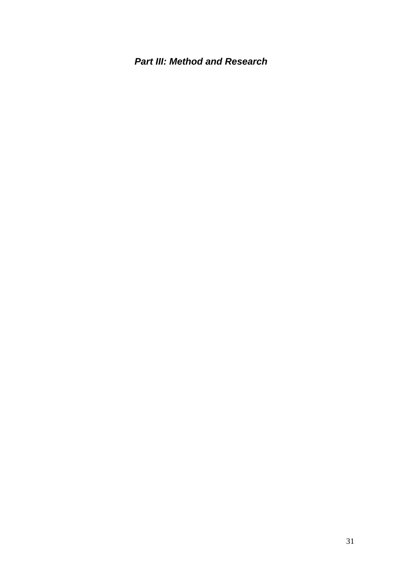*Part III: Method and Research*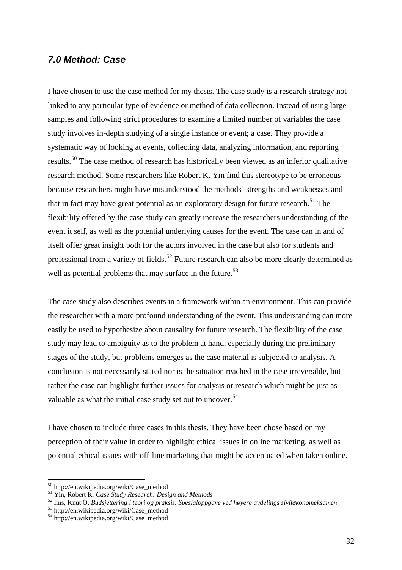#### *7.0 Method: Case*

I have chosen to use the case method for my thesis. The case study is a research strategy not linked to any particular type of evidence or method of data collection. Instead of using large samples and following strict procedures to examine a limited number of variables the case study involves in-depth studying of a single instance or event; a case. They provide a systematic way of looking at events, collecting data, analyzing information, and reporting results.<sup>[50](#page-31-0)</sup> The case method of research has historically been viewed as an inferior qualitative research method. Some researchers like Robert K. Yin find this stereotype to be erroneous because researchers might have misunderstood the methods' strengths and weaknesses and that in fact may have great potential as an exploratory design for future research.<sup>[51](#page-31-1)</sup> The flexibility offered by the case study can greatly increase the researchers understanding of the event it self, as well as the potential underlying causes for the event. The case can in and of itself offer great insight both for the actors involved in the case but also for students and professional from a variety of fields.<sup>[52](#page-31-2)</sup> Future research can also be more clearly determined as well as potential problems that may surface in the future.<sup>[53](#page-31-3)</sup>

The case study also describes events in a framework within an environment. This can provide the researcher with a more profound understanding of the event. This understanding can more easily be used to hypothesize about causality for future research. The flexibility of the case study may lead to ambiguity as to the problem at hand, especially during the preliminary stages of the study, but problems emerges as the case material is subjected to analysis. A conclusion is not necessarily stated nor is the situation reached in the case irreversible, but rather the case can highlight further issues for analysis or research which might be just as valuable as what the initial case study set out to uncover.<sup>[54](#page-31-4)</sup>

I have chosen to include three cases in this thesis. They have been chose based on my perception of their value in order to highlight ethical issues in online marketing, as well as potential ethical issues with off-line marketing that might be accentuated when taken online.

<span id="page-31-0"></span>

<span id="page-31-2"></span><span id="page-31-1"></span>

<sup>&</sup>lt;sup>50</sup> http://en.wikipedia.org/wiki/Case\_method<br><sup>51</sup> Yin, Robert K. *Case Study Research: Design and Methods*<br><sup>52</sup> Ims, Knut O. *Budsjettering i teori og praksis. Spesialoppgave ved høyere avdelings siviløkonomeksamen*<br><sup>53</sup>

<span id="page-31-3"></span>

<span id="page-31-4"></span>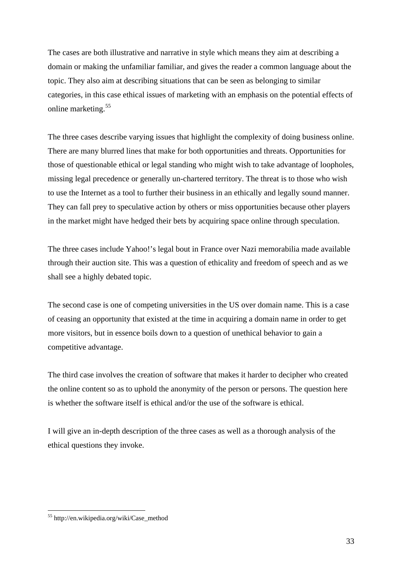The cases are both illustrative and narrative in style which means they aim at describing a domain or making the unfamiliar familiar, and gives the reader a common language about the topic. They also aim at describing situations that can be seen as belonging to similar categories, in this case ethical issues of marketing with an emphasis on the potential effects of online marketing.<sup>[55](#page-32-0)</sup>

The three cases describe varying issues that highlight the complexity of doing business online. There are many blurred lines that make for both opportunities and threats. Opportunities for those of questionable ethical or legal standing who might wish to take advantage of loopholes, missing legal precedence or generally un-chartered territory. The threat is to those who wish to use the Internet as a tool to further their business in an ethically and legally sound manner. They can fall prey to speculative action by others or miss opportunities because other players in the market might have hedged their bets by acquiring space online through speculation.

The three cases include Yahoo!'s legal bout in France over Nazi memorabilia made available through their auction site. This was a question of ethicality and freedom of speech and as we shall see a highly debated topic.

The second case is one of competing universities in the US over domain name. This is a case of ceasing an opportunity that existed at the time in acquiring a domain name in order to get more visitors, but in essence boils down to a question of unethical behavior to gain a competitive advantage.

The third case involves the creation of software that makes it harder to decipher who created the online content so as to uphold the anonymity of the person or persons. The question here is whether the software itself is ethical and/or the use of the software is ethical.

I will give an in-depth description of the three cases as well as a thorough analysis of the ethical questions they invoke.

<span id="page-32-0"></span><sup>55</sup> http://en.wikipedia.org/wiki/Case\_method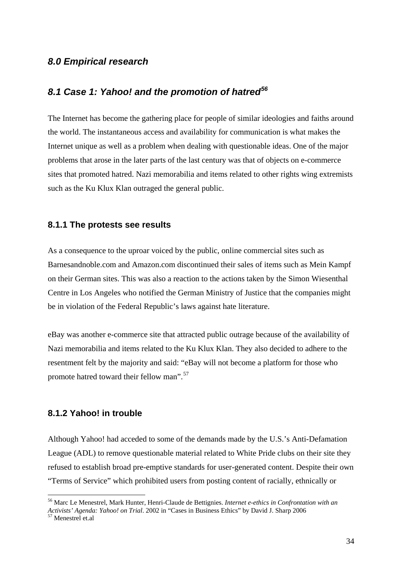#### *8.0 Empirical research*

## *8.1 Case 1: Yahoo! and the promotion of hatred[56](#page-33-0)*

The Internet has become the gathering place for people of similar ideologies and faiths around the world. The instantaneous access and availability for communication is what makes the Internet unique as well as a problem when dealing with questionable ideas. One of the major problems that arose in the later parts of the last century was that of objects on e-commerce sites that promoted hatred. Nazi memorabilia and items related to other rights wing extremists such as the Ku Klux Klan outraged the general public.

#### **8.1.1 The protests see results**

As a consequence to the uproar voiced by the public, online commercial sites such as Barnesandnoble.com and Amazon.com discontinued their sales of items such as Mein Kampf on their German sites. This was also a reaction to the actions taken by the Simon Wiesenthal Centre in Los Angeles who notified the German Ministry of Justice that the companies might be in violation of the Federal Republic's laws against hate literature.

eBay was another e-commerce site that attracted public outrage because of the availability of Nazi memorabilia and items related to the Ku Klux Klan. They also decided to adhere to the resentment felt by the majority and said: "eBay will not become a platform for those who promote hatred toward their fellow man".[57](#page-33-1)

#### **8.1.2 Yahoo! in trouble**

Although Yahoo! had acceded to some of the demands made by the U.S.'s Anti-Defamation League (ADL) to remove questionable material related to White Pride clubs on their site they refused to establish broad pre-emptive standards for user-generated content. Despite their own "Terms of Service" which prohibited users from posting content of racially, ethnically or

<span id="page-33-0"></span><sup>56</sup> Marc Le Menestrel, Mark Hunter, Henri-Claude de Bettignies. *Internet e-ethics in Confrontation with an Activists' Agenda: Yahoo! on Trial.* 2002 in "Cases in Business Ethics" by David J. Sharp 2006<br><sup>57</sup> Menestrel et al.

<span id="page-33-1"></span>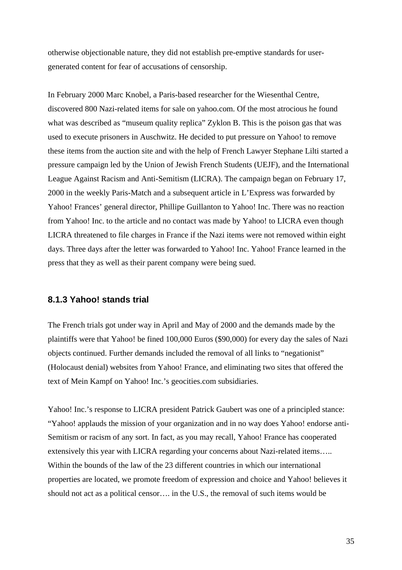otherwise objectionable nature, they did not establish pre-emptive standards for usergenerated content for fear of accusations of censorship.

In February 2000 Marc Knobel, a Paris-based researcher for the Wiesenthal Centre, discovered 800 Nazi-related items for sale on yahoo.com. Of the most atrocious he found what was described as "museum quality replica" Zyklon B. This is the poison gas that was used to execute prisoners in Auschwitz. He decided to put pressure on Yahoo! to remove these items from the auction site and with the help of French Lawyer Stephane Lilti started a pressure campaign led by the Union of Jewish French Students (UEJF), and the International League Against Racism and Anti-Semitism (LICRA). The campaign began on February 17, 2000 in the weekly Paris-Match and a subsequent article in L'Express was forwarded by Yahoo! Frances' general director, Phillipe Guillanton to Yahoo! Inc. There was no reaction from Yahoo! Inc. to the article and no contact was made by Yahoo! to LICRA even though LICRA threatened to file charges in France if the Nazi items were not removed within eight days. Three days after the letter was forwarded to Yahoo! Inc. Yahoo! France learned in the press that they as well as their parent company were being sued.

#### **8.1.3 Yahoo! stands trial**

The French trials got under way in April and May of 2000 and the demands made by the plaintiffs were that Yahoo! be fined 100,000 Euros (\$90,000) for every day the sales of Nazi objects continued. Further demands included the removal of all links to "negationist" (Holocaust denial) websites from Yahoo! France, and eliminating two sites that offered the text of Mein Kampf on Yahoo! Inc.'s geocities.com subsidiaries.

Yahoo! Inc.'s response to LICRA president Patrick Gaubert was one of a principled stance: "Yahoo! applauds the mission of your organization and in no way does Yahoo! endorse anti-Semitism or racism of any sort. In fact, as you may recall, Yahoo! France has cooperated extensively this year with LICRA regarding your concerns about Nazi-related items….. Within the bounds of the law of the 23 different countries in which our international properties are located, we promote freedom of expression and choice and Yahoo! believes it should not act as a political censor…. in the U.S., the removal of such items would be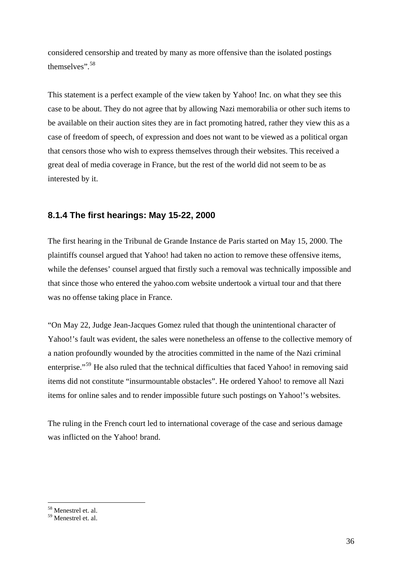considered censorship and treated by many as more offensive than the isolated postings themselves".<sup>[58](#page-35-0)</sup>

This statement is a perfect example of the view taken by Yahoo! Inc. on what they see this case to be about. They do not agree that by allowing Nazi memorabilia or other such items to be available on their auction sites they are in fact promoting hatred, rather they view this as a case of freedom of speech, of expression and does not want to be viewed as a political organ that censors those who wish to express themselves through their websites. This received a great deal of media coverage in France, but the rest of the world did not seem to be as interested by it.

#### **8.1.4 The first hearings: May 15-22, 2000**

The first hearing in the Tribunal de Grande Instance de Paris started on May 15, 2000. The plaintiffs counsel argued that Yahoo! had taken no action to remove these offensive items, while the defenses' counsel argued that firstly such a removal was technically impossible and that since those who entered the yahoo.com website undertook a virtual tour and that there was no offense taking place in France.

"On May 22, Judge Jean-Jacques Gomez ruled that though the unintentional character of Yahoo!'s fault was evident, the sales were nonetheless an offense to the collective memory of a nation profoundly wounded by the atrocities committed in the name of the Nazi criminal enterprise."<sup>[59](#page-35-1)</sup> He also ruled that the technical difficulties that faced Yahoo! in removing said items did not constitute "insurmountable obstacles". He ordered Yahoo! to remove all Nazi items for online sales and to render impossible future such postings on Yahoo!'s websites.

The ruling in the French court led to international coverage of the case and serious damage was inflicted on the Yahoo! brand.

<sup>1</sup> 58 Menestrel et. al.

<span id="page-35-1"></span><span id="page-35-0"></span><sup>59</sup> Menestrel et. al.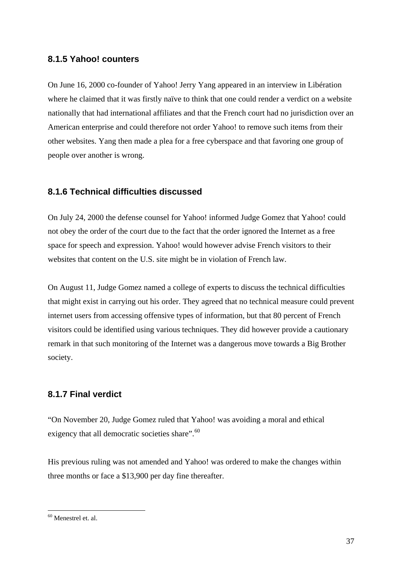#### **8.1.5 Yahoo! counters**

On June 16, 2000 co-founder of Yahoo! Jerry Yang appeared in an interview in Libération where he claimed that it was firstly naïve to think that one could render a verdict on a website nationally that had international affiliates and that the French court had no jurisdiction over an American enterprise and could therefore not order Yahoo! to remove such items from their other websites. Yang then made a plea for a free cyberspace and that favoring one group of people over another is wrong.

#### **8.1.6 Technical difficulties discussed**

On July 24, 2000 the defense counsel for Yahoo! informed Judge Gomez that Yahoo! could not obey the order of the court due to the fact that the order ignored the Internet as a free space for speech and expression. Yahoo! would however advise French visitors to their websites that content on the U.S. site might be in violation of French law.

On August 11, Judge Gomez named a college of experts to discuss the technical difficulties that might exist in carrying out his order. They agreed that no technical measure could prevent internet users from accessing offensive types of information, but that 80 percent of French visitors could be identified using various techniques. They did however provide a cautionary remark in that such monitoring of the Internet was a dangerous move towards a Big Brother society.

#### **8.1.7 Final verdict**

"On November 20, Judge Gomez ruled that Yahoo! was avoiding a moral and ethical exigency that all democratic societies share".<sup>[60](#page-36-0)</sup>

His previous ruling was not amended and Yahoo! was ordered to make the changes within three months or face a \$13,900 per day fine thereafter.

<span id="page-36-0"></span><sup>60</sup> Menestrel et. al.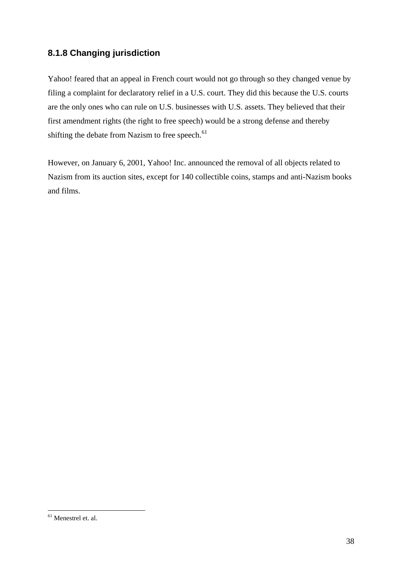## **8.1.8 Changing jurisdiction**

Yahoo! feared that an appeal in French court would not go through so they changed venue by filing a complaint for declaratory relief in a U.S. court. They did this because the U.S. courts are the only ones who can rule on U.S. businesses with U.S. assets. They believed that their first amendment rights (the right to free speech) would be a strong defense and thereby shifting the debate from Nazism to free speech.<sup>[61](#page-37-0)</sup>

However, on January 6, 2001, Yahoo! Inc. announced the removal of all objects related to Nazism from its auction sites, except for 140 collectible coins, stamps and anti-Nazism books and films.

<span id="page-37-0"></span><sup>1</sup> 61 Menestrel et. al.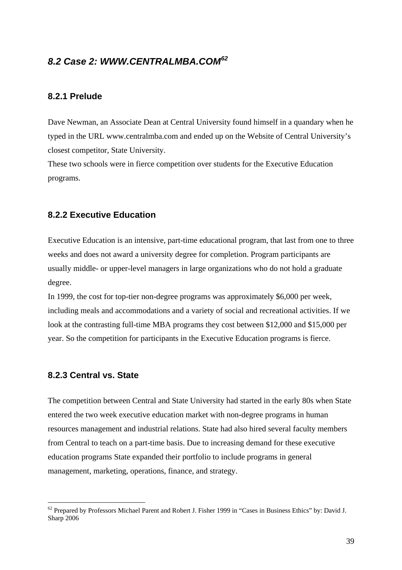#### *8.2 Case 2: WWW.CENTRALMBA.COM[62](#page-38-0)*

#### **8.2.1 Prelude**

Dave Newman, an Associate Dean at Central University found himself in a quandary when he typed in the URL www.centralmba.com and ended up on the Website of Central University's closest competitor, State University.

These two schools were in fierce competition over students for the Executive Education programs.

#### **8.2.2 Executive Education**

Executive Education is an intensive, part-time educational program, that last from one to three weeks and does not award a university degree for completion. Program participants are usually middle- or upper-level managers in large organizations who do not hold a graduate degree.

In 1999, the cost for top-tier non-degree programs was approximately \$6,000 per week, including meals and accommodations and a variety of social and recreational activities. If we look at the contrasting full-time MBA programs they cost between \$12,000 and \$15,000 per year. So the competition for participants in the Executive Education programs is fierce.

#### **8.2.3 Central vs. State**

1

The competition between Central and State University had started in the early 80s when State entered the two week executive education market with non-degree programs in human resources management and industrial relations. State had also hired several faculty members from Central to teach on a part-time basis. Due to increasing demand for these executive education programs State expanded their portfolio to include programs in general management, marketing, operations, finance, and strategy.

<span id="page-38-0"></span><sup>&</sup>lt;sup>62</sup> Prepared by Professors Michael Parent and Robert J. Fisher 1999 in "Cases in Business Ethics" by: David J. Sharp 2006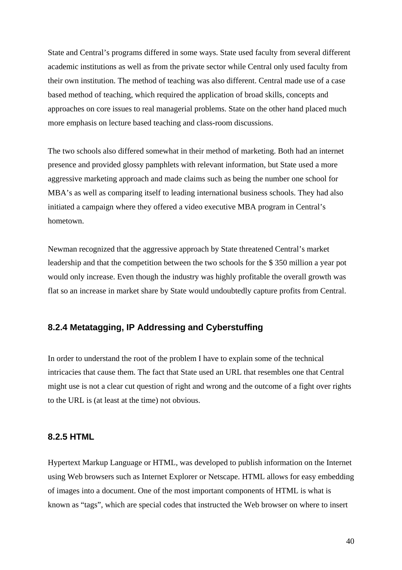State and Central's programs differed in some ways. State used faculty from several different academic institutions as well as from the private sector while Central only used faculty from their own institution. The method of teaching was also different. Central made use of a case based method of teaching, which required the application of broad skills, concepts and approaches on core issues to real managerial problems. State on the other hand placed much more emphasis on lecture based teaching and class-room discussions.

The two schools also differed somewhat in their method of marketing. Both had an internet presence and provided glossy pamphlets with relevant information, but State used a more aggressive marketing approach and made claims such as being the number one school for MBA's as well as comparing itself to leading international business schools. They had also initiated a campaign where they offered a video executive MBA program in Central's hometown.

Newman recognized that the aggressive approach by State threatened Central's market leadership and that the competition between the two schools for the \$ 350 million a year pot would only increase. Even though the industry was highly profitable the overall growth was flat so an increase in market share by State would undoubtedly capture profits from Central.

#### **8.2.4 Metatagging, IP Addressing and Cyberstuffing**

In order to understand the root of the problem I have to explain some of the technical intricacies that cause them. The fact that State used an URL that resembles one that Central might use is not a clear cut question of right and wrong and the outcome of a fight over rights to the URL is (at least at the time) not obvious.

#### **8.2.5 HTML**

Hypertext Markup Language or HTML, was developed to publish information on the Internet using Web browsers such as Internet Explorer or Netscape. HTML allows for easy embedding of images into a document. One of the most important components of HTML is what is known as "tags", which are special codes that instructed the Web browser on where to insert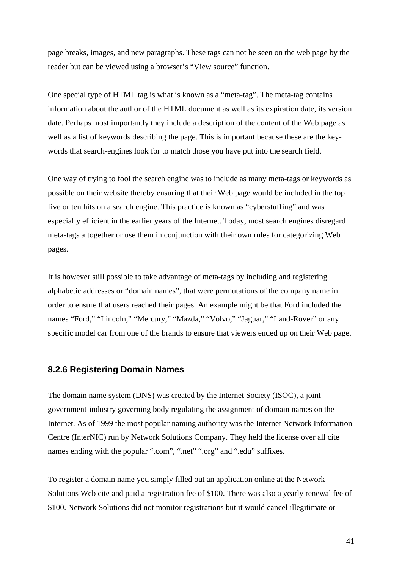page breaks, images, and new paragraphs. These tags can not be seen on the web page by the reader but can be viewed using a browser's "View source" function.

One special type of HTML tag is what is known as a "meta-tag". The meta-tag contains information about the author of the HTML document as well as its expiration date, its version date. Perhaps most importantly they include a description of the content of the Web page as well as a list of keywords describing the page. This is important because these are the keywords that search-engines look for to match those you have put into the search field.

One way of trying to fool the search engine was to include as many meta-tags or keywords as possible on their website thereby ensuring that their Web page would be included in the top five or ten hits on a search engine. This practice is known as "cyberstuffing" and was especially efficient in the earlier years of the Internet. Today, most search engines disregard meta-tags altogether or use them in conjunction with their own rules for categorizing Web pages.

It is however still possible to take advantage of meta-tags by including and registering alphabetic addresses or "domain names", that were permutations of the company name in order to ensure that users reached their pages. An example might be that Ford included the names "Ford," "Lincoln," "Mercury," "Mazda," "Volvo," "Jaguar," "Land-Rover" or any specific model car from one of the brands to ensure that viewers ended up on their Web page.

#### **8.2.6 Registering Domain Names**

The domain name system (DNS) was created by the Internet Society (ISOC), a joint government-industry governing body regulating the assignment of domain names on the Internet. As of 1999 the most popular naming authority was the Internet Network Information Centre (InterNIC) run by Network Solutions Company. They held the license over all cite names ending with the popular ".com", ".net" ".org" and ".edu" suffixes.

To register a domain name you simply filled out an application online at the Network Solutions Web cite and paid a registration fee of \$100. There was also a yearly renewal fee of \$100. Network Solutions did not monitor registrations but it would cancel illegitimate or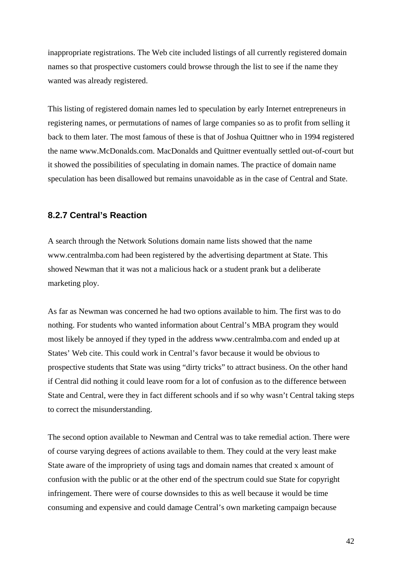inappropriate registrations. The Web cite included listings of all currently registered domain names so that prospective customers could browse through the list to see if the name they wanted was already registered.

This listing of registered domain names led to speculation by early Internet entrepreneurs in registering names, or permutations of names of large companies so as to profit from selling it back to them later. The most famous of these is that of Joshua Quittner who in 1994 registered the name www.McDonalds.com. MacDonalds and Quittner eventually settled out-of-court but it showed the possibilities of speculating in domain names. The practice of domain name speculation has been disallowed but remains unavoidable as in the case of Central and State.

#### **8.2.7 Central's Reaction**

A search through the Network Solutions domain name lists showed that the name www.centralmba.com had been registered by the advertising department at State. This showed Newman that it was not a malicious hack or a student prank but a deliberate marketing ploy.

As far as Newman was concerned he had two options available to him. The first was to do nothing. For students who wanted information about Central's MBA program they would most likely be annoyed if they typed in the address www.centralmba.com and ended up at States' Web cite. This could work in Central's favor because it would be obvious to prospective students that State was using "dirty tricks" to attract business. On the other hand if Central did nothing it could leave room for a lot of confusion as to the difference between State and Central, were they in fact different schools and if so why wasn't Central taking steps to correct the misunderstanding.

The second option available to Newman and Central was to take remedial action. There were of course varying degrees of actions available to them. They could at the very least make State aware of the impropriety of using tags and domain names that created x amount of confusion with the public or at the other end of the spectrum could sue State for copyright infringement. There were of course downsides to this as well because it would be time consuming and expensive and could damage Central's own marketing campaign because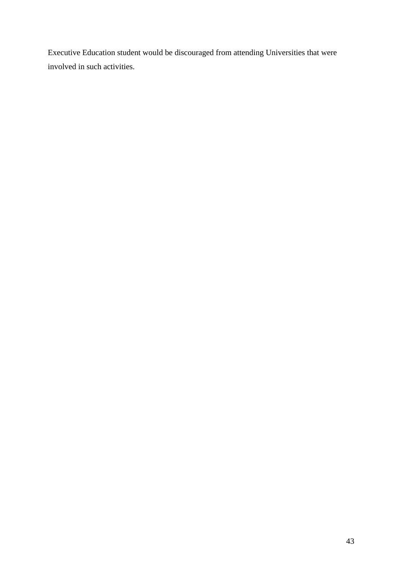Executive Education student would be discouraged from attending Universities that were involved in such activities.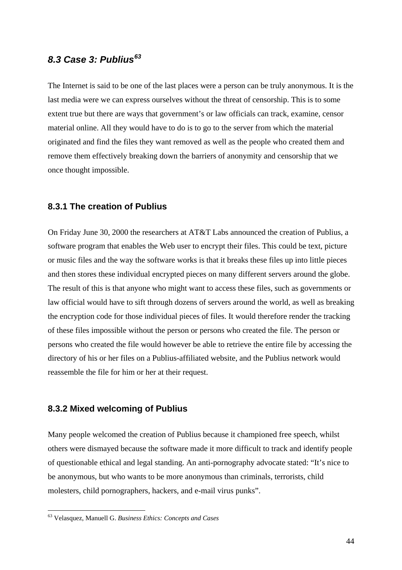### *8.3 Case 3: Publius[63](#page-43-0)*

The Internet is said to be one of the last places were a person can be truly anonymous. It is the last media were we can express ourselves without the threat of censorship. This is to some extent true but there are ways that government's or law officials can track, examine, censor material online. All they would have to do is to go to the server from which the material originated and find the files they want removed as well as the people who created them and remove them effectively breaking down the barriers of anonymity and censorship that we once thought impossible.

#### **8.3.1 The creation of Publius**

On Friday June 30, 2000 the researchers at AT&T Labs announced the creation of Publius, a software program that enables the Web user to encrypt their files. This could be text, picture or music files and the way the software works is that it breaks these files up into little pieces and then stores these individual encrypted pieces on many different servers around the globe. The result of this is that anyone who might want to access these files, such as governments or law official would have to sift through dozens of servers around the world, as well as breaking the encryption code for those individual pieces of files. It would therefore render the tracking of these files impossible without the person or persons who created the file. The person or persons who created the file would however be able to retrieve the entire file by accessing the directory of his or her files on a Publius-affiliated website, and the Publius network would reassemble the file for him or her at their request.

#### **8.3.2 Mixed welcoming of Publius**

Many people welcomed the creation of Publius because it championed free speech, whilst others were dismayed because the software made it more difficult to track and identify people of questionable ethical and legal standing. An anti-pornography advocate stated: "It's nice to be anonymous, but who wants to be more anonymous than criminals, terrorists, child molesters, child pornographers, hackers, and e-mail virus punks".

<span id="page-43-0"></span><sup>63</sup> Velasquez, Manuell G. *Business Ethics: Concepts and Cases*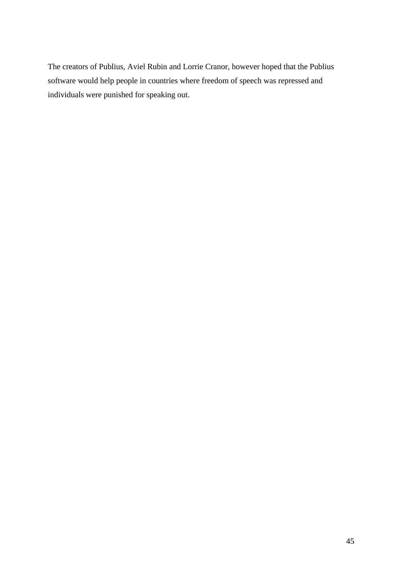The creators of Publius, Aviel Rubin and Lorrie Cranor, however hoped that the Publius software would help people in countries where freedom of speech was repressed and individuals were punished for speaking out.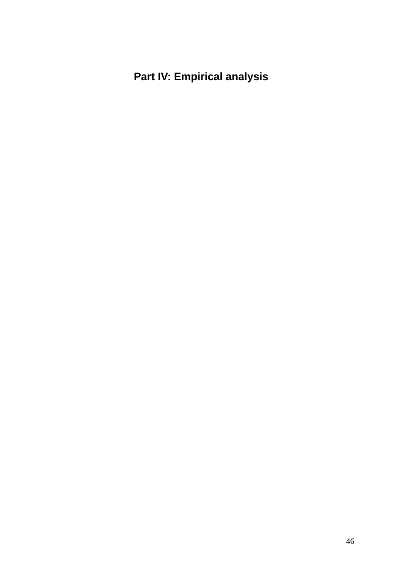## **Part IV: Empirical analysis**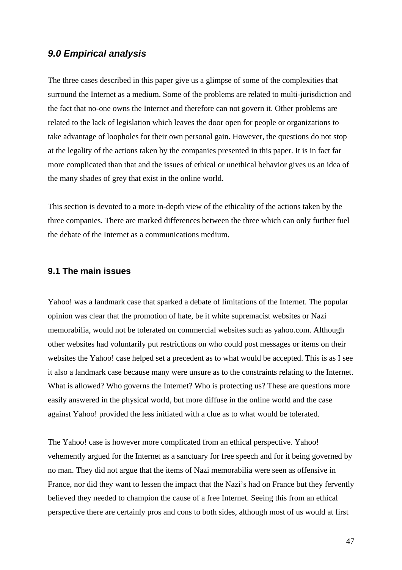#### *9.0 Empirical analysis*

The three cases described in this paper give us a glimpse of some of the complexities that surround the Internet as a medium. Some of the problems are related to multi-jurisdiction and the fact that no-one owns the Internet and therefore can not govern it. Other problems are related to the lack of legislation which leaves the door open for people or organizations to take advantage of loopholes for their own personal gain. However, the questions do not stop at the legality of the actions taken by the companies presented in this paper. It is in fact far more complicated than that and the issues of ethical or unethical behavior gives us an idea of the many shades of grey that exist in the online world.

This section is devoted to a more in-depth view of the ethicality of the actions taken by the three companies. There are marked differences between the three which can only further fuel the debate of the Internet as a communications medium.

#### **9.1 The main issues**

Yahoo! was a landmark case that sparked a debate of limitations of the Internet. The popular opinion was clear that the promotion of hate, be it white supremacist websites or Nazi memorabilia, would not be tolerated on commercial websites such as yahoo.com. Although other websites had voluntarily put restrictions on who could post messages or items on their websites the Yahoo! case helped set a precedent as to what would be accepted. This is as I see it also a landmark case because many were unsure as to the constraints relating to the Internet. What is allowed? Who governs the Internet? Who is protecting us? These are questions more easily answered in the physical world, but more diffuse in the online world and the case against Yahoo! provided the less initiated with a clue as to what would be tolerated.

The Yahoo! case is however more complicated from an ethical perspective. Yahoo! vehemently argued for the Internet as a sanctuary for free speech and for it being governed by no man. They did not argue that the items of Nazi memorabilia were seen as offensive in France, nor did they want to lessen the impact that the Nazi's had on France but they fervently believed they needed to champion the cause of a free Internet. Seeing this from an ethical perspective there are certainly pros and cons to both sides, although most of us would at first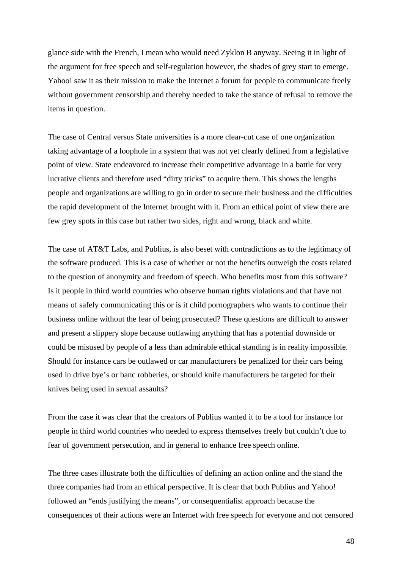glance side with the French, I mean who would need Zyklon B anyway. Seeing it in light of the argument for free speech and self-regulation however, the shades of grey start to emerge. Yahoo! saw it as their mission to make the Internet a forum for people to communicate freely without government censorship and thereby needed to take the stance of refusal to remove the items in question.

The case of Central versus State universities is a more clear-cut case of one organization taking advantage of a loophole in a system that was not yet clearly defined from a legislative point of view. State endeavored to increase their competitive advantage in a battle for very lucrative clients and therefore used "dirty tricks" to acquire them. This shows the lengths people and organizations are willing to go in order to secure their business and the difficulties the rapid development of the Internet brought with it. From an ethical point of view there are few grey spots in this case but rather two sides, right and wrong, black and white.

The case of AT&T Labs, and Publius, is also beset with contradictions as to the legitimacy of the software produced. This is a case of whether or not the benefits outweigh the costs related to the question of anonymity and freedom of speech. Who benefits most from this software? Is it people in third world countries who observe human rights violations and that have not means of safely communicating this or is it child pornographers who wants to continue their business online without the fear of being prosecuted? These questions are difficult to answer and present a slippery slope because outlawing anything that has a potential downside or could be misused by people of a less than admirable ethical standing is in reality impossible. Should for instance cars be outlawed or car manufacturers be penalized for their cars being used in drive bye's or banc robberies, or should knife manufacturers be targeted for their knives being used in sexual assaults?

From the case it was clear that the creators of Publius wanted it to be a tool for instance for people in third world countries who needed to express themselves freely but couldn't due to fear of government persecution, and in general to enhance free speech online.

The three cases illustrate both the difficulties of defining an action online and the stand the three companies had from an ethical perspective. It is clear that both Publius and Yahoo! followed an "ends justifying the means", or consequentialist approach because the consequences of their actions were an Internet with free speech for everyone and not censored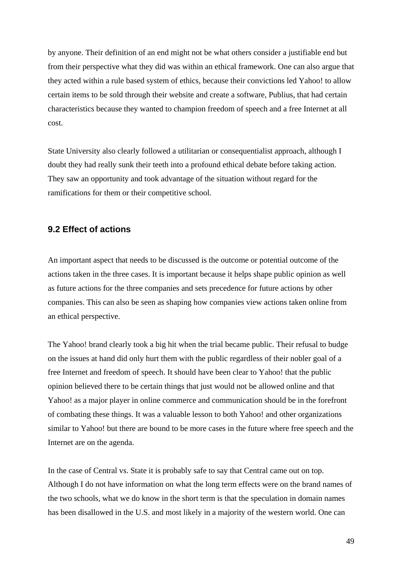by anyone. Their definition of an end might not be what others consider a justifiable end but from their perspective what they did was within an ethical framework. One can also argue that they acted within a rule based system of ethics, because their convictions led Yahoo! to allow certain items to be sold through their website and create a software, Publius, that had certain characteristics because they wanted to champion freedom of speech and a free Internet at all cost.

State University also clearly followed a utilitarian or consequentialist approach, although I doubt they had really sunk their teeth into a profound ethical debate before taking action. They saw an opportunity and took advantage of the situation without regard for the ramifications for them or their competitive school.

#### **9.2 Effect of actions**

An important aspect that needs to be discussed is the outcome or potential outcome of the actions taken in the three cases. It is important because it helps shape public opinion as well as future actions for the three companies and sets precedence for future actions by other companies. This can also be seen as shaping how companies view actions taken online from an ethical perspective.

The Yahoo! brand clearly took a big hit when the trial became public. Their refusal to budge on the issues at hand did only hurt them with the public regardless of their nobler goal of a free Internet and freedom of speech. It should have been clear to Yahoo! that the public opinion believed there to be certain things that just would not be allowed online and that Yahoo! as a major player in online commerce and communication should be in the forefront of combating these things. It was a valuable lesson to both Yahoo! and other organizations similar to Yahoo! but there are bound to be more cases in the future where free speech and the Internet are on the agenda.

In the case of Central vs. State it is probably safe to say that Central came out on top. Although I do not have information on what the long term effects were on the brand names of the two schools, what we do know in the short term is that the speculation in domain names has been disallowed in the U.S. and most likely in a majority of the western world. One can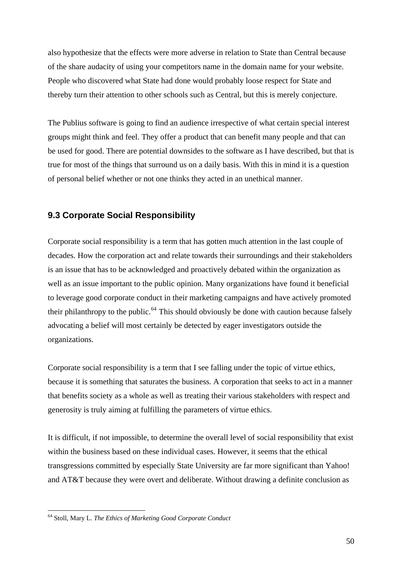also hypothesize that the effects were more adverse in relation to State than Central because of the share audacity of using your competitors name in the domain name for your website. People who discovered what State had done would probably loose respect for State and thereby turn their attention to other schools such as Central, but this is merely conjecture.

The Publius software is going to find an audience irrespective of what certain special interest groups might think and feel. They offer a product that can benefit many people and that can be used for good. There are potential downsides to the software as I have described, but that is true for most of the things that surround us on a daily basis. With this in mind it is a question of personal belief whether or not one thinks they acted in an unethical manner.

#### **9.3 Corporate Social Responsibility**

Corporate social responsibility is a term that has gotten much attention in the last couple of decades. How the corporation act and relate towards their surroundings and their stakeholders is an issue that has to be acknowledged and proactively debated within the organization as well as an issue important to the public opinion. Many organizations have found it beneficial to leverage good corporate conduct in their marketing campaigns and have actively promoted their philanthropy to the public.<sup>[64](#page-49-0)</sup> This should obviously be done with caution because falsely advocating a belief will most certainly be detected by eager investigators outside the organizations.

Corporate social responsibility is a term that I see falling under the topic of virtue ethics, because it is something that saturates the business. A corporation that seeks to act in a manner that benefits society as a whole as well as treating their various stakeholders with respect and generosity is truly aiming at fulfilling the parameters of virtue ethics.

It is difficult, if not impossible, to determine the overall level of social responsibility that exist within the business based on these individual cases. However, it seems that the ethical transgressions committed by especially State University are far more significant than Yahoo! and AT&T because they were overt and deliberate. Without drawing a definite conclusion as

<span id="page-49-0"></span><sup>64</sup> Stoll, Mary L. *The Ethics of Marketing Good Corporate Conduct*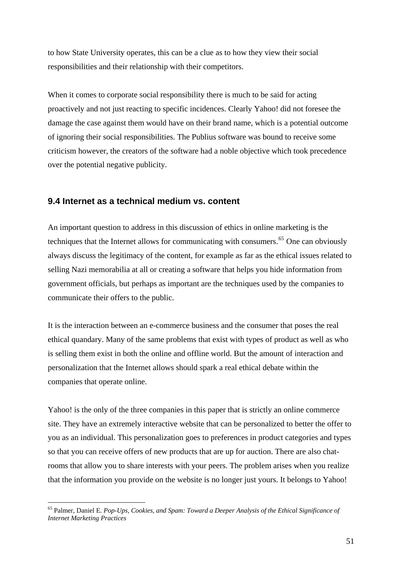to how State University operates, this can be a clue as to how they view their social responsibilities and their relationship with their competitors.

When it comes to corporate social responsibility there is much to be said for acting proactively and not just reacting to specific incidences. Clearly Yahoo! did not foresee the damage the case against them would have on their brand name, which is a potential outcome of ignoring their social responsibilities. The Publius software was bound to receive some criticism however, the creators of the software had a noble objective which took precedence over the potential negative publicity.

#### **9.4 Internet as a technical medium vs. content**

An important question to address in this discussion of ethics in online marketing is the techniques that the Internet allows for communicating with consumers.<sup>[65](#page-50-0)</sup> One can obviously always discuss the legitimacy of the content, for example as far as the ethical issues related to selling Nazi memorabilia at all or creating a software that helps you hide information from government officials, but perhaps as important are the techniques used by the companies to communicate their offers to the public.

It is the interaction between an e-commerce business and the consumer that poses the real ethical quandary. Many of the same problems that exist with types of product as well as who is selling them exist in both the online and offline world. But the amount of interaction and personalization that the Internet allows should spark a real ethical debate within the companies that operate online.

Yahoo! is the only of the three companies in this paper that is strictly an online commerce site. They have an extremely interactive website that can be personalized to better the offer to you as an individual. This personalization goes to preferences in product categories and types so that you can receive offers of new products that are up for auction. There are also chatrooms that allow you to share interests with your peers. The problem arises when you realize that the information you provide on the website is no longer just yours. It belongs to Yahoo!

<span id="page-50-0"></span><sup>1</sup> 65 Palmer, Daniel E. *Pop-Ups, Cookies, and Spam: Toward a Deeper Analysis of the Ethical Significance of Internet Marketing Practices*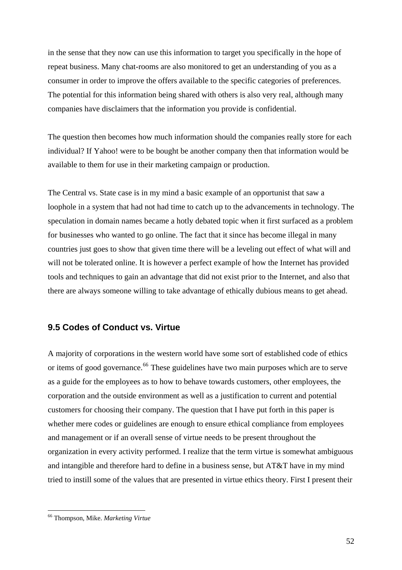in the sense that they now can use this information to target you specifically in the hope of repeat business. Many chat-rooms are also monitored to get an understanding of you as a consumer in order to improve the offers available to the specific categories of preferences. The potential for this information being shared with others is also very real, although many companies have disclaimers that the information you provide is confidential.

The question then becomes how much information should the companies really store for each individual? If Yahoo! were to be bought be another company then that information would be available to them for use in their marketing campaign or production.

The Central vs. State case is in my mind a basic example of an opportunist that saw a loophole in a system that had not had time to catch up to the advancements in technology. The speculation in domain names became a hotly debated topic when it first surfaced as a problem for businesses who wanted to go online. The fact that it since has become illegal in many countries just goes to show that given time there will be a leveling out effect of what will and will not be tolerated online. It is however a perfect example of how the Internet has provided tools and techniques to gain an advantage that did not exist prior to the Internet, and also that there are always someone willing to take advantage of ethically dubious means to get ahead.

#### **9.5 Codes of Conduct vs. Virtue**

A majority of corporations in the western world have some sort of established code of ethics or items of good governance.<sup>[66](#page-51-0)</sup> These guidelines have two main purposes which are to serve as a guide for the employees as to how to behave towards customers, other employees, the corporation and the outside environment as well as a justification to current and potential customers for choosing their company. The question that I have put forth in this paper is whether mere codes or guidelines are enough to ensure ethical compliance from employees and management or if an overall sense of virtue needs to be present throughout the organization in every activity performed. I realize that the term virtue is somewhat ambiguous and intangible and therefore hard to define in a business sense, but AT&T have in my mind tried to instill some of the values that are presented in virtue ethics theory. First I present their

<span id="page-51-0"></span><sup>66</sup> Thompson, Mike. *Marketing Virtue*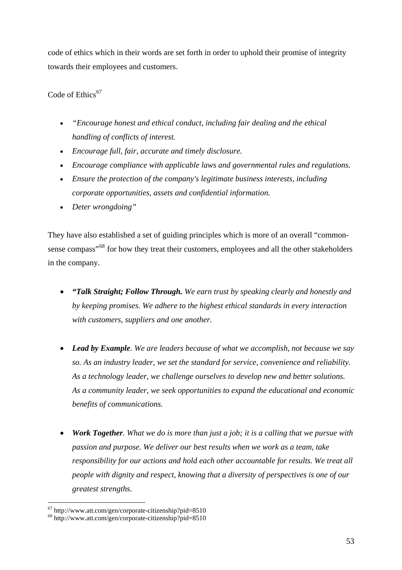code of ethics which in their words are set forth in order to uphold their promise of integrity towards their employees and customers.

Code of Ethics $67$ 

- *"Encourage honest and ethical conduct, including fair dealing and the ethical handling of conflicts of interest.*
- *Encourage full, fair, accurate and timely disclosure.*
- *Encourage compliance with applicable laws and governmental rules and regulations.*
- *Ensure the protection of the company's legitimate business interests, including corporate opportunities, assets and confidential information.*
- *Deter wrongdoing"*

They have also established a set of guiding principles which is more of an overall "common-sense compass"<sup>[68](#page-52-1)</sup> for how they treat their customers, employees and all the other stakeholders in the company.

- *"Talk Straight; Follow Through. We earn trust by speaking clearly and honestly and by keeping promises. We adhere to the highest ethical standards in every interaction with customers, suppliers and one another.*
- *Lead by Example. We are leaders because of what we accomplish, not because we say so. As an industry leader, we set the standard for service, convenience and reliability. As a technology leader, we challenge ourselves to develop new and better solutions. As a community leader, we seek opportunities to expand the educational and economic benefits of communications.*
- *Work Together. What we do is more than just a job; it is a calling that we pursue with passion and purpose. We deliver our best results when we work as a team, take responsibility for our actions and hold each other accountable for results. We treat all people with dignity and respect, knowing that a diversity of perspectives is one of our greatest strengths.*

<span id="page-52-0"></span> $67$  http://www.att.com/gen/corporate-citizenship?pid=8510

<span id="page-52-1"></span><sup>68</sup> http://www.att.com/gen/corporate-citizenship?pid=8510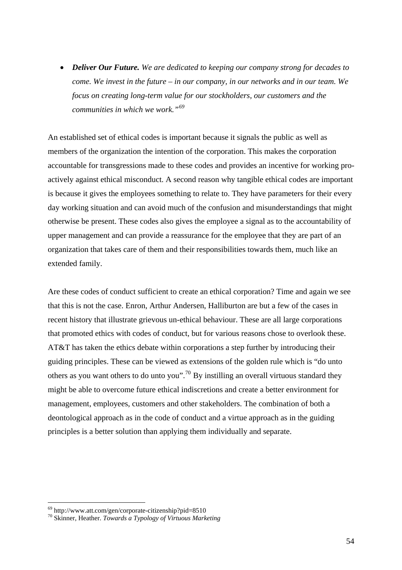• *Deliver Our Future. We are dedicated to keeping our company strong for decades to come. We invest in the future – in our company, in our networks and in our team. We focus on creating long-term value for our stockholders, our customers and the communities in which we work."[69](#page-53-0)*

An established set of ethical codes is important because it signals the public as well as members of the organization the intention of the corporation. This makes the corporation accountable for transgressions made to these codes and provides an incentive for working proactively against ethical misconduct. A second reason why tangible ethical codes are important is because it gives the employees something to relate to. They have parameters for their every day working situation and can avoid much of the confusion and misunderstandings that might otherwise be present. These codes also gives the employee a signal as to the accountability of upper management and can provide a reassurance for the employee that they are part of an organization that takes care of them and their responsibilities towards them, much like an extended family.

Are these codes of conduct sufficient to create an ethical corporation? Time and again we see that this is not the case. Enron, Arthur Andersen, Halliburton are but a few of the cases in recent history that illustrate grievous un-ethical behaviour. These are all large corporations that promoted ethics with codes of conduct, but for various reasons chose to overlook these. AT&T has taken the ethics debate within corporations a step further by introducing their guiding principles. These can be viewed as extensions of the golden rule which is "do unto others as you want others to do unto you".<sup>[70](#page-53-1)</sup> By instilling an overall virtuous standard they might be able to overcome future ethical indiscretions and create a better environment for management, employees, customers and other stakeholders. The combination of both a deontological approach as in the code of conduct and a virtue approach as in the guiding principles is a better solution than applying them individually and separate.

<span id="page-53-0"></span><sup>69</sup> http://www.att.com/gen/corporate-citizenship?pid=8510

<span id="page-53-1"></span><sup>70</sup> Skinner, Heather. *Towards a Typology of Virtuous Marketing*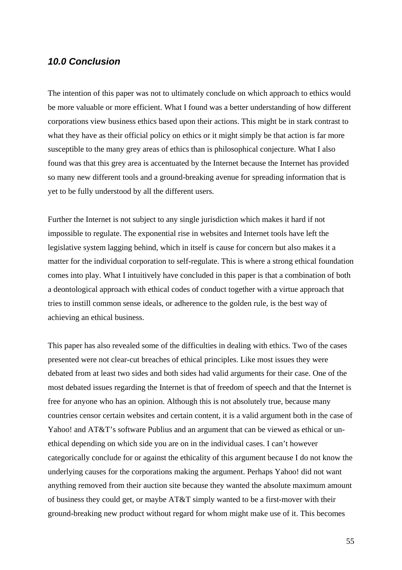#### *10.0 Conclusion*

The intention of this paper was not to ultimately conclude on which approach to ethics would be more valuable or more efficient. What I found was a better understanding of how different corporations view business ethics based upon their actions. This might be in stark contrast to what they have as their official policy on ethics or it might simply be that action is far more susceptible to the many grey areas of ethics than is philosophical conjecture. What I also found was that this grey area is accentuated by the Internet because the Internet has provided so many new different tools and a ground-breaking avenue for spreading information that is yet to be fully understood by all the different users.

Further the Internet is not subject to any single jurisdiction which makes it hard if not impossible to regulate. The exponential rise in websites and Internet tools have left the legislative system lagging behind, which in itself is cause for concern but also makes it a matter for the individual corporation to self-regulate. This is where a strong ethical foundation comes into play. What I intuitively have concluded in this paper is that a combination of both a deontological approach with ethical codes of conduct together with a virtue approach that tries to instill common sense ideals, or adherence to the golden rule, is the best way of achieving an ethical business.

This paper has also revealed some of the difficulties in dealing with ethics. Two of the cases presented were not clear-cut breaches of ethical principles. Like most issues they were debated from at least two sides and both sides had valid arguments for their case. One of the most debated issues regarding the Internet is that of freedom of speech and that the Internet is free for anyone who has an opinion. Although this is not absolutely true, because many countries censor certain websites and certain content, it is a valid argument both in the case of Yahoo! and AT&T's software Publius and an argument that can be viewed as ethical or unethical depending on which side you are on in the individual cases. I can't however categorically conclude for or against the ethicality of this argument because I do not know the underlying causes for the corporations making the argument. Perhaps Yahoo! did not want anything removed from their auction site because they wanted the absolute maximum amount of business they could get, or maybe AT&T simply wanted to be a first-mover with their ground-breaking new product without regard for whom might make use of it. This becomes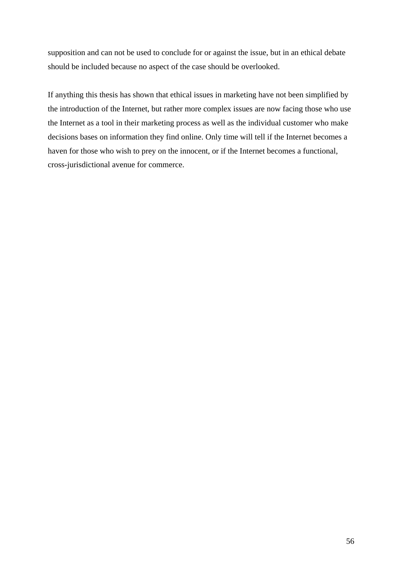supposition and can not be used to conclude for or against the issue, but in an ethical debate should be included because no aspect of the case should be overlooked.

If anything this thesis has shown that ethical issues in marketing have not been simplified by the introduction of the Internet, but rather more complex issues are now facing those who use the Internet as a tool in their marketing process as well as the individual customer who make decisions bases on information they find online. Only time will tell if the Internet becomes a haven for those who wish to prey on the innocent, or if the Internet becomes a functional, cross-jurisdictional avenue for commerce.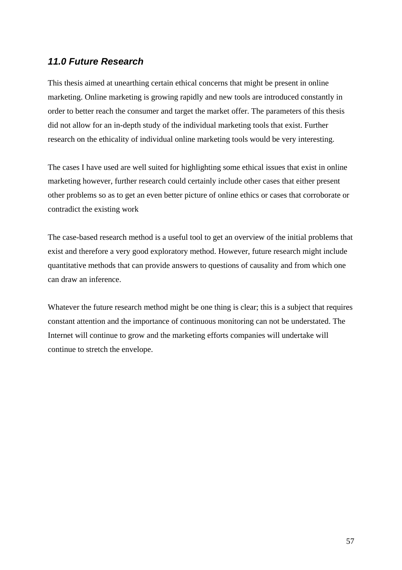## *11.0 Future Research*

This thesis aimed at unearthing certain ethical concerns that might be present in online marketing. Online marketing is growing rapidly and new tools are introduced constantly in order to better reach the consumer and target the market offer. The parameters of this thesis did not allow for an in-depth study of the individual marketing tools that exist. Further research on the ethicality of individual online marketing tools would be very interesting.

The cases I have used are well suited for highlighting some ethical issues that exist in online marketing however, further research could certainly include other cases that either present other problems so as to get an even better picture of online ethics or cases that corroborate or contradict the existing work

The case-based research method is a useful tool to get an overview of the initial problems that exist and therefore a very good exploratory method. However, future research might include quantitative methods that can provide answers to questions of causality and from which one can draw an inference.

Whatever the future research method might be one thing is clear; this is a subject that requires constant attention and the importance of continuous monitoring can not be understated. The Internet will continue to grow and the marketing efforts companies will undertake will continue to stretch the envelope.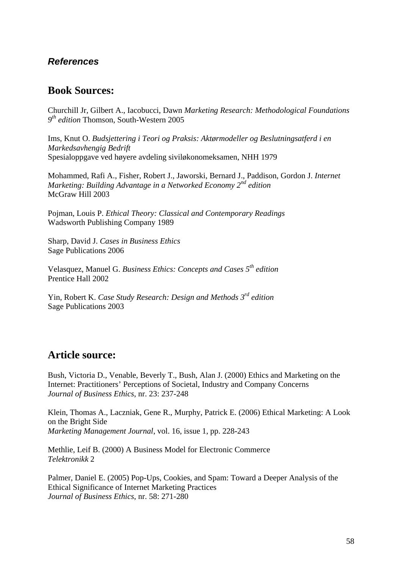## *References*

## **Book Sources:**

Churchill Jr, Gilbert A., Iacobucci, Dawn *Marketing Research: Methodological Foundations 9th edition* Thomson, South-Western 2005

Ims, Knut O. *Budsjettering i Teori og Praksis: Aktørmodeller og Beslutningsatferd i en Markedsavhengig Bedrift*  Spesialoppgave ved høyere avdeling siviløkonomeksamen, NHH 1979

Mohammed, Rafi A., Fisher, Robert J., Jaworski, Bernard J., Paddison, Gordon J. *Internet Marketing: Building Advantage in a Networked Economy 2nd edition*  McGraw Hill 2003

Pojman, Louis P. *Ethical Theory: Classical and Contemporary Readings* Wadsworth Publishing Company 1989

Sharp, David J. *Cases in Business Ethics*  Sage Publications 2006

Velasquez, Manuel G. *Business Ethics: Concepts and Cases 5th edition*  Prentice Hall 2002

Yin, Robert K. *Case Study Research: Design and Methods 3rd edition*  Sage Publications 2003

## **Article source:**

Bush, Victoria D., Venable, Beverly T., Bush, Alan J. (2000) Ethics and Marketing on the Internet: Practitioners' Perceptions of Societal, Industry and Company Concerns *Journal of Business Ethics*, nr. 23: 237-248

Klein, Thomas A., Laczniak, Gene R., Murphy, Patrick E. (2006) Ethical Marketing: A Look on the Bright Side *Marketing Management Journal*, vol. 16, issue 1, pp. 228-243

Methlie, Leif B. (2000) A Business Model for Electronic Commerce *Telektronikk* 2

Palmer, Daniel E. (2005) Pop-Ups, Cookies, and Spam: Toward a Deeper Analysis of the Ethical Significance of Internet Marketing Practices *Journal of Business Ethics*, nr. 58: 271-280